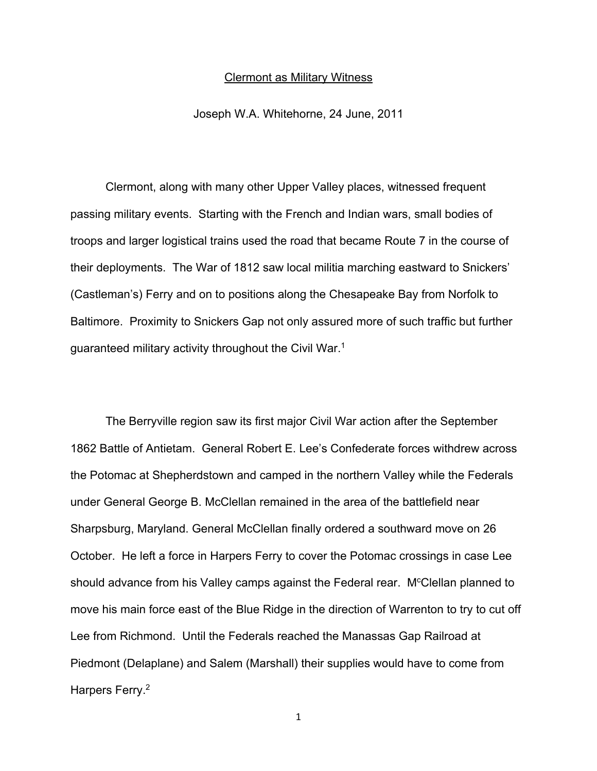## Clermont as Military Witness

Joseph W.A. Whitehorne, 24 June, 2011

Clermont, along with many other Upper Valley places, witnessed frequent passing military events. Starting with the French and Indian wars, small bodies of troops and larger logistical trains used the road that became Route 7 in the course of their deployments. The War of 1812 saw local militia marching eastward to Snickers' (Castleman's) Ferry and on to positions along the Chesapeake Bay from Norfolk to Baltimore. Proximity to Snickers Gap not only assured more of such traffic but further guaranteed military activity throughout the Civil War.<sup>1</sup>

The Berryville region saw its first major Civil War action after the September 1862 Battle of Antietam. General Robert E. Lee's Confederate forces withdrew across the Potomac at Shepherdstown and camped in the northern Valley while the Federals under General George B. McClellan remained in the area of the battlefield near Sharpsburg, Maryland. General McClellan finally ordered a southward move on 26 October. He left a force in Harpers Ferry to cover the Potomac crossings in case Lee should advance from his Valley camps against the Federal rear. M<sup>c</sup>Clellan planned to move his main force east of the Blue Ridge in the direction of Warrenton to try to cut off Lee from Richmond. Until the Federals reached the Manassas Gap Railroad at Piedmont (Delaplane) and Salem (Marshall) their supplies would have to come from Harpers Ferry.2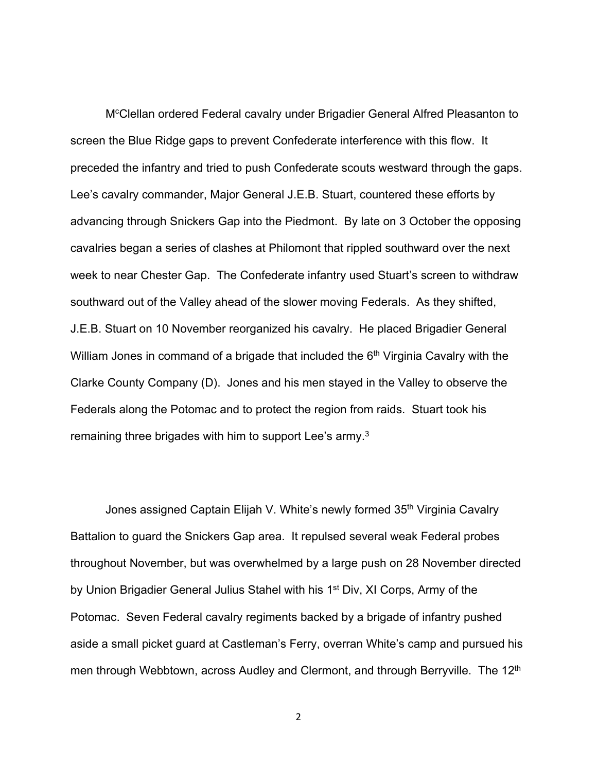M<sup>c</sup>Clellan ordered Federal cavalry under Brigadier General Alfred Pleasanton to screen the Blue Ridge gaps to prevent Confederate interference with this flow. It preceded the infantry and tried to push Confederate scouts westward through the gaps. Lee's cavalry commander, Major General J.E.B. Stuart, countered these efforts by advancing through Snickers Gap into the Piedmont. By late on 3 October the opposing cavalries began a series of clashes at Philomont that rippled southward over the next week to near Chester Gap. The Confederate infantry used Stuart's screen to withdraw southward out of the Valley ahead of the slower moving Federals. As they shifted, J.E.B. Stuart on 10 November reorganized his cavalry. He placed Brigadier General William Jones in command of a brigade that included the  $6<sup>th</sup>$  Virginia Cavalry with the Clarke County Company (D). Jones and his men stayed in the Valley to observe the Federals along the Potomac and to protect the region from raids. Stuart took his remaining three brigades with him to support Lee's army.3

Jones assigned Captain Elijah V. White's newly formed 35<sup>th</sup> Virginia Cavalry Battalion to guard the Snickers Gap area. It repulsed several weak Federal probes throughout November, but was overwhelmed by a large push on 28 November directed by Union Brigadier General Julius Stahel with his 1<sup>st</sup> Div, XI Corps, Army of the Potomac. Seven Federal cavalry regiments backed by a brigade of infantry pushed aside a small picket guard at Castleman's Ferry, overran White's camp and pursued his men through Webbtown, across Audley and Clermont, and through Berryville. The 12<sup>th</sup>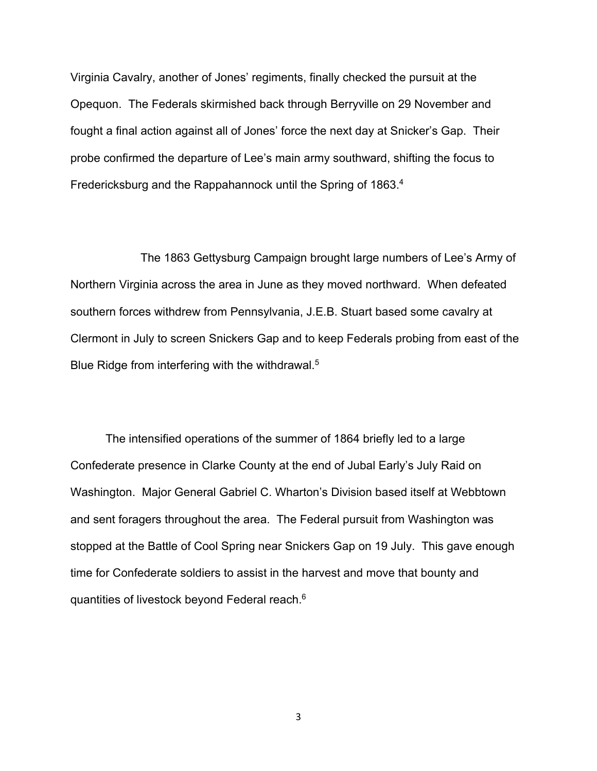Virginia Cavalry, another of Jones' regiments, finally checked the pursuit at the Opequon. The Federals skirmished back through Berryville on 29 November and fought a final action against all of Jones' force the next day at Snicker's Gap. Their probe confirmed the departure of Lee's main army southward, shifting the focus to Fredericksburg and the Rappahannock until the Spring of 1863.<sup>4</sup>

The 1863 Gettysburg Campaign brought large numbers of Lee's Army of Northern Virginia across the area in June as they moved northward. When defeated southern forces withdrew from Pennsylvania, J.E.B. Stuart based some cavalry at Clermont in July to screen Snickers Gap and to keep Federals probing from east of the Blue Ridge from interfering with the withdrawal.<sup>5</sup>

The intensified operations of the summer of 1864 briefly led to a large Confederate presence in Clarke County at the end of Jubal Early's July Raid on Washington. Major General Gabriel C. Wharton's Division based itself at Webbtown and sent foragers throughout the area. The Federal pursuit from Washington was stopped at the Battle of Cool Spring near Snickers Gap on 19 July. This gave enough time for Confederate soldiers to assist in the harvest and move that bounty and quantities of livestock beyond Federal reach.6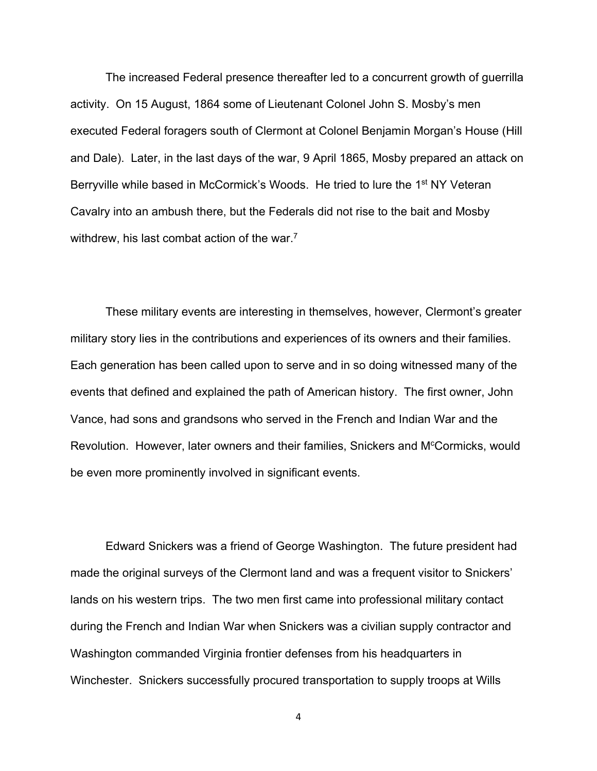The increased Federal presence thereafter led to a concurrent growth of guerrilla activity. On 15 August, 1864 some of Lieutenant Colonel John S. Mosby's men executed Federal foragers south of Clermont at Colonel Benjamin Morgan's House (Hill and Dale). Later, in the last days of the war, 9 April 1865, Mosby prepared an attack on Berryville while based in McCormick's Woods. He tried to lure the 1<sup>st</sup> NY Veteran Cavalry into an ambush there, but the Federals did not rise to the bait and Mosby withdrew, his last combat action of the war.<sup>7</sup>

These military events are interesting in themselves, however, Clermont's greater military story lies in the contributions and experiences of its owners and their families. Each generation has been called upon to serve and in so doing witnessed many of the events that defined and explained the path of American history. The first owner, John Vance, had sons and grandsons who served in the French and Indian War and the Revolution. However, later owners and their families, Snickers and M<sup>c</sup>Cormicks, would be even more prominently involved in significant events.

Edward Snickers was a friend of George Washington. The future president had made the original surveys of the Clermont land and was a frequent visitor to Snickers' lands on his western trips. The two men first came into professional military contact during the French and Indian War when Snickers was a civilian supply contractor and Washington commanded Virginia frontier defenses from his headquarters in Winchester. Snickers successfully procured transportation to supply troops at Wills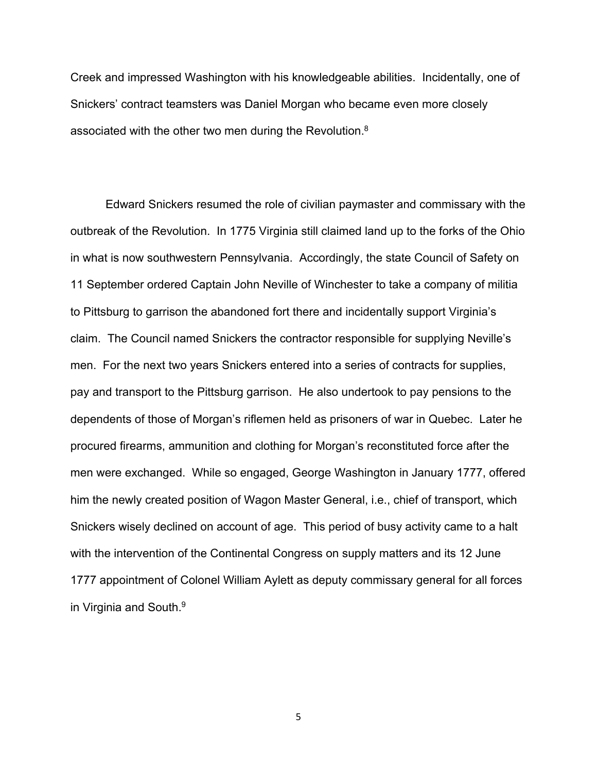Creek and impressed Washington with his knowledgeable abilities. Incidentally, one of Snickers' contract teamsters was Daniel Morgan who became even more closely associated with the other two men during the Revolution.<sup>8</sup>

Edward Snickers resumed the role of civilian paymaster and commissary with the outbreak of the Revolution. In 1775 Virginia still claimed land up to the forks of the Ohio in what is now southwestern Pennsylvania. Accordingly, the state Council of Safety on 11 September ordered Captain John Neville of Winchester to take a company of militia to Pittsburg to garrison the abandoned fort there and incidentally support Virginia's claim. The Council named Snickers the contractor responsible for supplying Neville's men. For the next two years Snickers entered into a series of contracts for supplies, pay and transport to the Pittsburg garrison. He also undertook to pay pensions to the dependents of those of Morgan's riflemen held as prisoners of war in Quebec. Later he procured firearms, ammunition and clothing for Morgan's reconstituted force after the men were exchanged. While so engaged, George Washington in January 1777, offered him the newly created position of Wagon Master General, i.e., chief of transport, which Snickers wisely declined on account of age. This period of busy activity came to a halt with the intervention of the Continental Congress on supply matters and its 12 June 1777 appointment of Colonel William Aylett as deputy commissary general for all forces in Virginia and South.<sup>9</sup>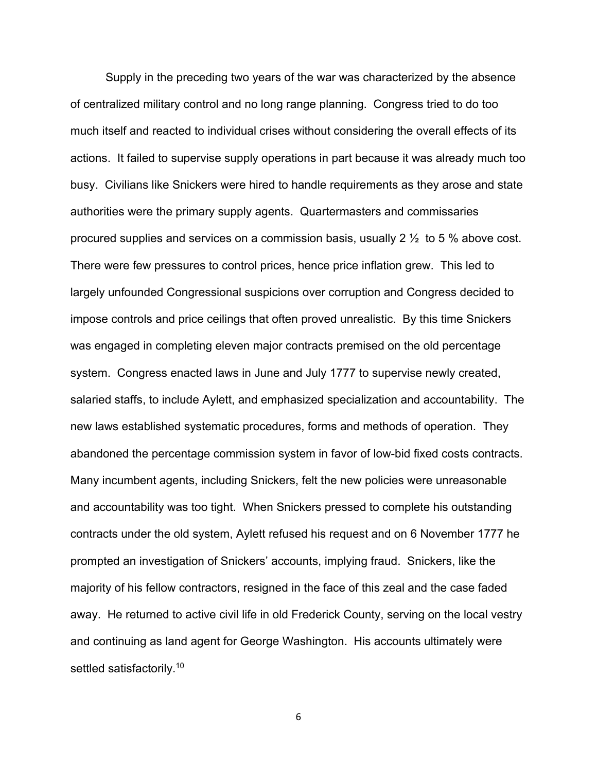Supply in the preceding two years of the war was characterized by the absence of centralized military control and no long range planning. Congress tried to do too much itself and reacted to individual crises without considering the overall effects of its actions. It failed to supervise supply operations in part because it was already much too busy. Civilians like Snickers were hired to handle requirements as they arose and state authorities were the primary supply agents. Quartermasters and commissaries procured supplies and services on a commission basis, usually 2 ½ to 5 % above cost. There were few pressures to control prices, hence price inflation grew. This led to largely unfounded Congressional suspicions over corruption and Congress decided to impose controls and price ceilings that often proved unrealistic. By this time Snickers was engaged in completing eleven major contracts premised on the old percentage system. Congress enacted laws in June and July 1777 to supervise newly created, salaried staffs, to include Aylett, and emphasized specialization and accountability. The new laws established systematic procedures, forms and methods of operation. They abandoned the percentage commission system in favor of low-bid fixed costs contracts. Many incumbent agents, including Snickers, felt the new policies were unreasonable and accountability was too tight. When Snickers pressed to complete his outstanding contracts under the old system, Aylett refused his request and on 6 November 1777 he prompted an investigation of Snickers' accounts, implying fraud. Snickers, like the majority of his fellow contractors, resigned in the face of this zeal and the case faded away. He returned to active civil life in old Frederick County, serving on the local vestry and continuing as land agent for George Washington. His accounts ultimately were settled satisfactorily.<sup>10</sup>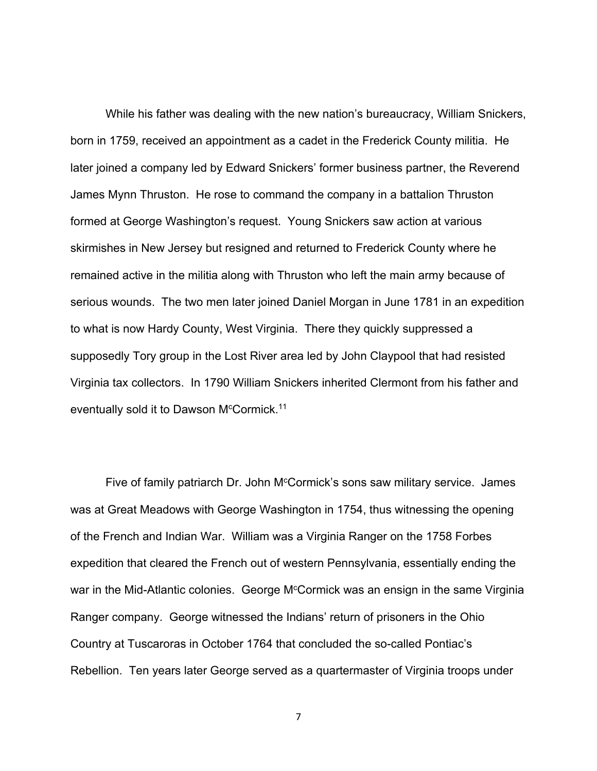While his father was dealing with the new nation's bureaucracy, William Snickers, born in 1759, received an appointment as a cadet in the Frederick County militia. He later joined a company led by Edward Snickers' former business partner, the Reverend James Mynn Thruston. He rose to command the company in a battalion Thruston formed at George Washington's request. Young Snickers saw action at various skirmishes in New Jersey but resigned and returned to Frederick County where he remained active in the militia along with Thruston who left the main army because of serious wounds. The two men later joined Daniel Morgan in June 1781 in an expedition to what is now Hardy County, West Virginia. There they quickly suppressed a supposedly Tory group in the Lost River area led by John Claypool that had resisted Virginia tax collectors. In 1790 William Snickers inherited Clermont from his father and eventually sold it to Dawson M<sup>c</sup>Cormick.<sup>11</sup>

Five of family patriarch Dr. John M<sup>c</sup>Cormick's sons saw military service. James was at Great Meadows with George Washington in 1754, thus witnessing the opening of the French and Indian War. William was a Virginia Ranger on the 1758 Forbes expedition that cleared the French out of western Pennsylvania, essentially ending the war in the Mid-Atlantic colonies. George M<sup>c</sup>Cormick was an ensign in the same Virginia Ranger company. George witnessed the Indians' return of prisoners in the Ohio Country at Tuscaroras in October 1764 that concluded the so-called Pontiac's Rebellion. Ten years later George served as a quartermaster of Virginia troops under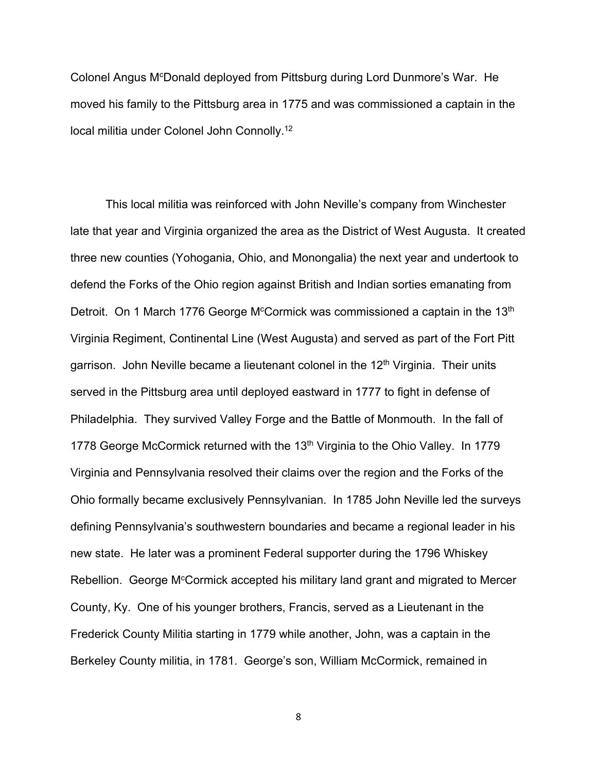Colonel Angus M<sup>c</sup>Donald deployed from Pittsburg during Lord Dunmore's War. He moved his family to the Pittsburg area in 1775 and was commissioned a captain in the local militia under Colonel John Connolly.12

This local militia was reinforced with John Neville's company from Winchester late that year and Virginia organized the area as the District of West Augusta. It created three new counties (Yohogania, Ohio, and Monongalia) the next year and undertook to defend the Forks of the Ohio region against British and Indian sorties emanating from Detroit. On 1 March 1776 George M<sup>c</sup>Cormick was commissioned a captain in the 13<sup>th</sup> Virginia Regiment, Continental Line (West Augusta) and served as part of the Fort Pitt garrison. John Neville became a lieutenant colonel in the  $12<sup>th</sup>$  Virginia. Their units served in the Pittsburg area until deployed eastward in 1777 to fight in defense of Philadelphia. They survived Valley Forge and the Battle of Monmouth. In the fall of 1778 George McCormick returned with the 13<sup>th</sup> Virginia to the Ohio Valley. In 1779 Virginia and Pennsylvania resolved their claims over the region and the Forks of the Ohio formally became exclusively Pennsylvanian. In 1785 John Neville led the surveys defining Pennsylvania's southwestern boundaries and became a regional leader in his new state. He later was a prominent Federal supporter during the 1796 Whiskey Rebellion. George M<sup>c</sup>Cormick accepted his military land grant and migrated to Mercer County, Ky. One of his younger brothers, Francis, served as a Lieutenant in the Frederick County Militia starting in 1779 while another, John, was a captain in the Berkeley County militia, in 1781. George's son, William McCormick, remained in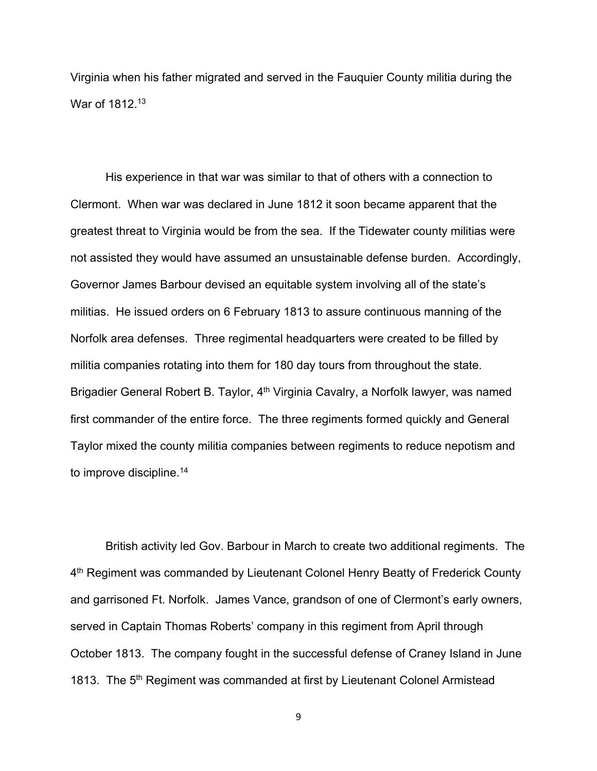Virginia when his father migrated and served in the Fauquier County militia during the War of 1812.<sup>13</sup>

His experience in that war was similar to that of others with a connection to Clermont. When war was declared in June 1812 it soon became apparent that the greatest threat to Virginia would be from the sea. If the Tidewater county militias were not assisted they would have assumed an unsustainable defense burden. Accordingly, Governor James Barbour devised an equitable system involving all of the state's militias. He issued orders on 6 February 1813 to assure continuous manning of the Norfolk area defenses. Three regimental headquarters were created to be filled by militia companies rotating into them for 180 day tours from throughout the state. Brigadier General Robert B. Taylor, 4<sup>th</sup> Virginia Cavalry, a Norfolk lawyer, was named first commander of the entire force. The three regiments formed quickly and General Taylor mixed the county militia companies between regiments to reduce nepotism and to improve discipline.<sup>14</sup>

British activity led Gov. Barbour in March to create two additional regiments. The 4<sup>th</sup> Regiment was commanded by Lieutenant Colonel Henry Beatty of Frederick County and garrisoned Ft. Norfolk. James Vance, grandson of one of Clermont's early owners, served in Captain Thomas Roberts' company in this regiment from April through October 1813. The company fought in the successful defense of Craney Island in June 1813. The 5<sup>th</sup> Regiment was commanded at first by Lieutenant Colonel Armistead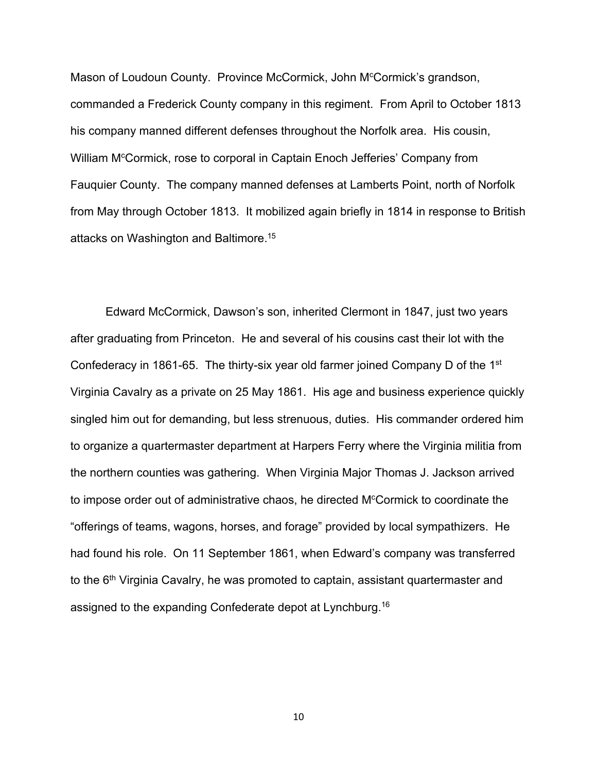Mason of Loudoun County. Province McCormick, John M<sup>c</sup>Cormick's grandson, commanded a Frederick County company in this regiment. From April to October 1813 his company manned different defenses throughout the Norfolk area. His cousin, William M<sup>c</sup>Cormick, rose to corporal in Captain Enoch Jefferies' Company from Fauquier County. The company manned defenses at Lamberts Point, north of Norfolk from May through October 1813. It mobilized again briefly in 1814 in response to British attacks on Washington and Baltimore.15

Edward McCormick, Dawson's son, inherited Clermont in 1847, just two years after graduating from Princeton. He and several of his cousins cast their lot with the Confederacy in 1861-65. The thirty-six year old farmer joined Company D of the 1st Virginia Cavalry as a private on 25 May 1861. His age and business experience quickly singled him out for demanding, but less strenuous, duties. His commander ordered him to organize a quartermaster department at Harpers Ferry where the Virginia militia from the northern counties was gathering. When Virginia Major Thomas J. Jackson arrived to impose order out of administrative chaos, he directed M<sup>c</sup>Cormick to coordinate the "offerings of teams, wagons, horses, and forage" provided by local sympathizers. He had found his role. On 11 September 1861, when Edward's company was transferred to the 6<sup>th</sup> Virginia Cavalry, he was promoted to captain, assistant quartermaster and assigned to the expanding Confederate depot at Lynchburg.16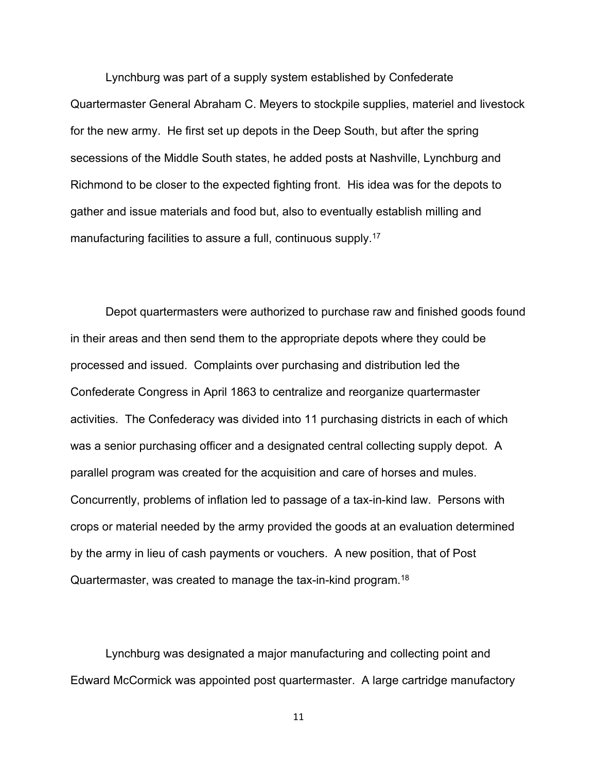Lynchburg was part of a supply system established by Confederate Quartermaster General Abraham C. Meyers to stockpile supplies, materiel and livestock for the new army. He first set up depots in the Deep South, but after the spring secessions of the Middle South states, he added posts at Nashville, Lynchburg and Richmond to be closer to the expected fighting front. His idea was for the depots to gather and issue materials and food but, also to eventually establish milling and manufacturing facilities to assure a full, continuous supply.<sup>17</sup>

Depot quartermasters were authorized to purchase raw and finished goods found in their areas and then send them to the appropriate depots where they could be processed and issued. Complaints over purchasing and distribution led the Confederate Congress in April 1863 to centralize and reorganize quartermaster activities. The Confederacy was divided into 11 purchasing districts in each of which was a senior purchasing officer and a designated central collecting supply depot. A parallel program was created for the acquisition and care of horses and mules. Concurrently, problems of inflation led to passage of a tax-in-kind law. Persons with crops or material needed by the army provided the goods at an evaluation determined by the army in lieu of cash payments or vouchers. A new position, that of Post Quartermaster, was created to manage the tax-in-kind program.18

Lynchburg was designated a major manufacturing and collecting point and Edward McCormick was appointed post quartermaster. A large cartridge manufactory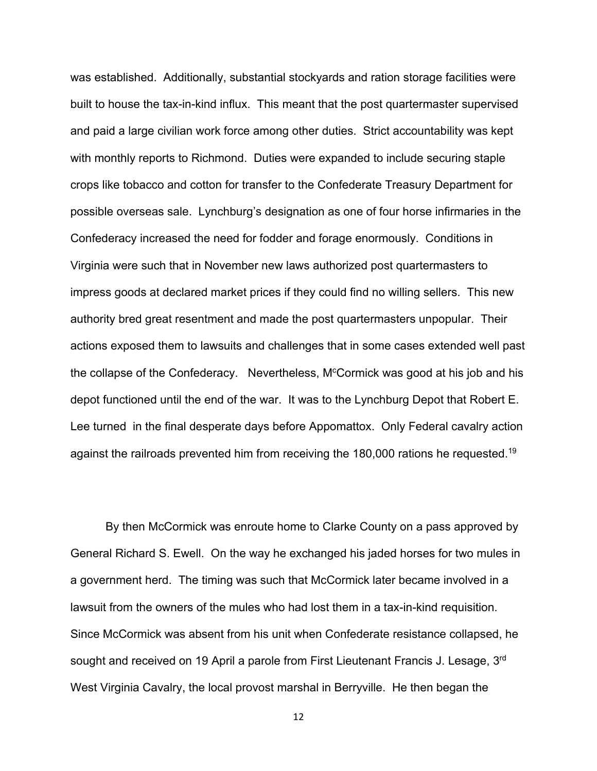was established. Additionally, substantial stockyards and ration storage facilities were built to house the tax-in-kind influx. This meant that the post quartermaster supervised and paid a large civilian work force among other duties. Strict accountability was kept with monthly reports to Richmond. Duties were expanded to include securing staple crops like tobacco and cotton for transfer to the Confederate Treasury Department for possible overseas sale. Lynchburg's designation as one of four horse infirmaries in the Confederacy increased the need for fodder and forage enormously. Conditions in Virginia were such that in November new laws authorized post quartermasters to impress goods at declared market prices if they could find no willing sellers. This new authority bred great resentment and made the post quartermasters unpopular. Their actions exposed them to lawsuits and challenges that in some cases extended well past the collapse of the Confederacy. Nevertheless, M<sup>c</sup>Cormick was good at his job and his depot functioned until the end of the war. It was to the Lynchburg Depot that Robert E. Lee turned in the final desperate days before Appomattox. Only Federal cavalry action against the railroads prevented him from receiving the 180,000 rations he requested.<sup>19</sup>

By then McCormick was enroute home to Clarke County on a pass approved by General Richard S. Ewell. On the way he exchanged his jaded horses for two mules in a government herd. The timing was such that McCormick later became involved in a lawsuit from the owners of the mules who had lost them in a tax-in-kind requisition. Since McCormick was absent from his unit when Confederate resistance collapsed, he sought and received on 19 April a parole from First Lieutenant Francis J. Lesage, 3rd West Virginia Cavalry, the local provost marshal in Berryville. He then began the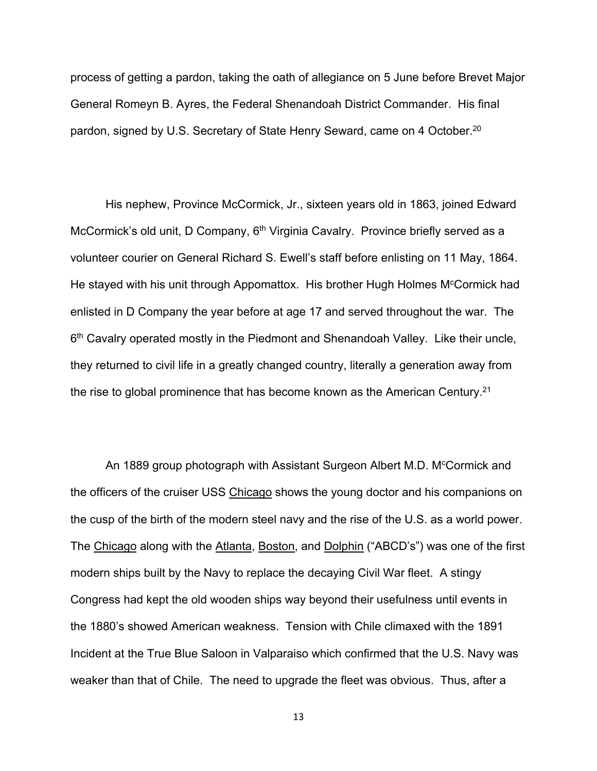process of getting a pardon, taking the oath of allegiance on 5 June before Brevet Major General Romeyn B. Ayres, the Federal Shenandoah District Commander. His final pardon, signed by U.S. Secretary of State Henry Seward, came on 4 October.<sup>20</sup>

His nephew, Province McCormick, Jr., sixteen years old in 1863, joined Edward McCormick's old unit, D Company, 6<sup>th</sup> Virginia Cavalry. Province briefly served as a volunteer courier on General Richard S. Ewell's staff before enlisting on 11 May, 1864. He stayed with his unit through Appomattox. His brother Hugh Holmes M<sup>c</sup>Cormick had enlisted in D Company the year before at age 17 and served throughout the war. The 6<sup>th</sup> Cavalry operated mostly in the Piedmont and Shenandoah Valley. Like their uncle, they returned to civil life in a greatly changed country, literally a generation away from the rise to global prominence that has become known as the American Century.21

An 1889 group photograph with Assistant Surgeon Albert M.D. M<sup>c</sup>Cormick and the officers of the cruiser USS Chicago shows the young doctor and his companions on the cusp of the birth of the modern steel navy and the rise of the U.S. as a world power. The Chicago along with the Atlanta, Boston, and Dolphin ("ABCD's") was one of the first modern ships built by the Navy to replace the decaying Civil War fleet. A stingy Congress had kept the old wooden ships way beyond their usefulness until events in the 1880's showed American weakness. Tension with Chile climaxed with the 1891 Incident at the True Blue Saloon in Valparaiso which confirmed that the U.S. Navy was weaker than that of Chile. The need to upgrade the fleet was obvious. Thus, after a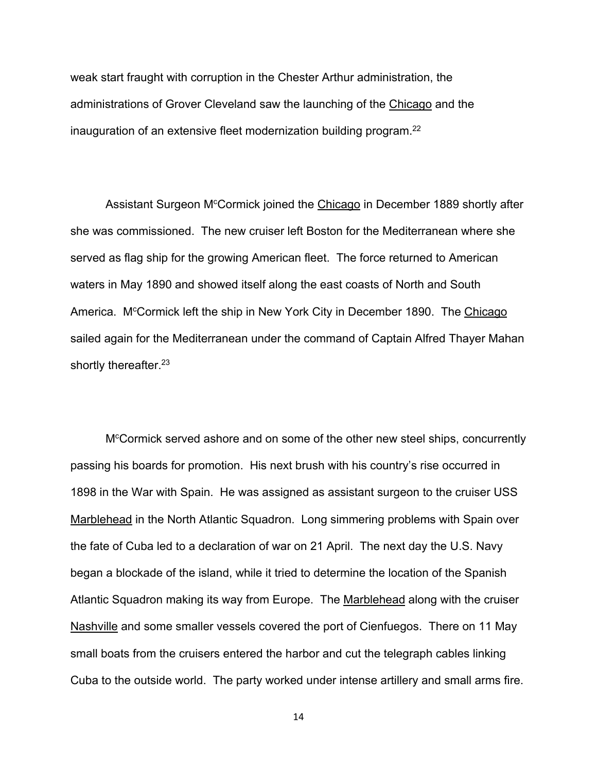weak start fraught with corruption in the Chester Arthur administration, the administrations of Grover Cleveland saw the launching of the Chicago and the inauguration of an extensive fleet modernization building program.<sup>22</sup>

Assistant Surgeon M<sup>c</sup>Cormick joined the Chicago in December 1889 shortly after she was commissioned. The new cruiser left Boston for the Mediterranean where she served as flag ship for the growing American fleet. The force returned to American waters in May 1890 and showed itself along the east coasts of North and South America. M<sup>c</sup>Cormick left the ship in New York City in December 1890. The Chicago sailed again for the Mediterranean under the command of Captain Alfred Thayer Mahan shortly thereafter.<sup>23</sup>

M<sup>c</sup>Cormick served ashore and on some of the other new steel ships, concurrently passing his boards for promotion. His next brush with his country's rise occurred in 1898 in the War with Spain. He was assigned as assistant surgeon to the cruiser USS Marblehead in the North Atlantic Squadron. Long simmering problems with Spain over the fate of Cuba led to a declaration of war on 21 April. The next day the U.S. Navy began a blockade of the island, while it tried to determine the location of the Spanish Atlantic Squadron making its way from Europe. The Marblehead along with the cruiser Nashville and some smaller vessels covered the port of Cienfuegos. There on 11 May small boats from the cruisers entered the harbor and cut the telegraph cables linking Cuba to the outside world. The party worked under intense artillery and small arms fire.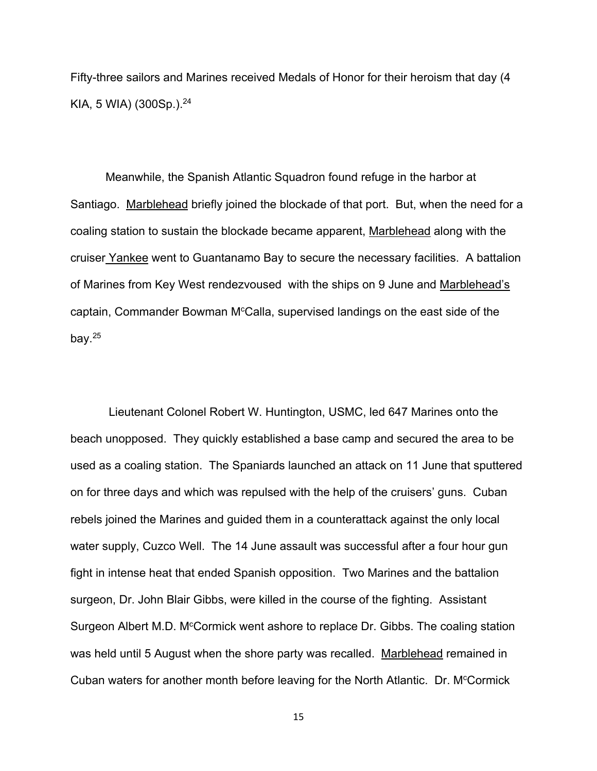Fifty-three sailors and Marines received Medals of Honor for their heroism that day (4 KIA, 5 WIA) (300Sp.). $24$ 

Meanwhile, the Spanish Atlantic Squadron found refuge in the harbor at Santiago. Marblehead briefly joined the blockade of that port. But, when the need for a coaling station to sustain the blockade became apparent, Marblehead along with the cruiser Yankee went to Guantanamo Bay to secure the necessary facilities. A battalion of Marines from Key West rendezvoused with the ships on 9 June and Marblehead's captain, Commander Bowman M<sup>c</sup>Calla, supervised landings on the east side of the bay. $25$ 

Lieutenant Colonel Robert W. Huntington, USMC, led 647 Marines onto the beach unopposed. They quickly established a base camp and secured the area to be used as a coaling station. The Spaniards launched an attack on 11 June that sputtered on for three days and which was repulsed with the help of the cruisers' guns. Cuban rebels joined the Marines and guided them in a counterattack against the only local water supply, Cuzco Well. The 14 June assault was successful after a four hour gun fight in intense heat that ended Spanish opposition. Two Marines and the battalion surgeon, Dr. John Blair Gibbs, were killed in the course of the fighting. Assistant Surgeon Albert M.D. M<sup>c</sup>Cormick went ashore to replace Dr. Gibbs. The coaling station was held until 5 August when the shore party was recalled. Marblehead remained in Cuban waters for another month before leaving for the North Atlantic. Dr. M<sup>c</sup>Cormick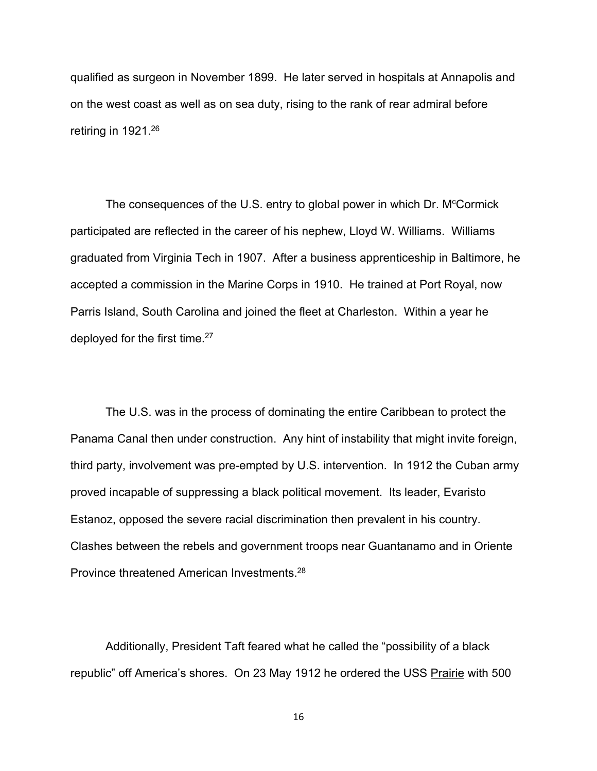qualified as surgeon in November 1899. He later served in hospitals at Annapolis and on the west coast as well as on sea duty, rising to the rank of rear admiral before retiring in 1921.26

The consequences of the U.S. entry to global power in which Dr. M<sup>c</sup>Cormick participated are reflected in the career of his nephew, Lloyd W. Williams. Williams graduated from Virginia Tech in 1907. After a business apprenticeship in Baltimore, he accepted a commission in the Marine Corps in 1910. He trained at Port Royal, now Parris Island, South Carolina and joined the fleet at Charleston. Within a year he deployed for the first time.27

The U.S. was in the process of dominating the entire Caribbean to protect the Panama Canal then under construction. Any hint of instability that might invite foreign, third party, involvement was pre-empted by U.S. intervention. In 1912 the Cuban army proved incapable of suppressing a black political movement. Its leader, Evaristo Estanoz, opposed the severe racial discrimination then prevalent in his country. Clashes between the rebels and government troops near Guantanamo and in Oriente Province threatened American Investments.28

Additionally, President Taft feared what he called the "possibility of a black republic" off America's shores. On 23 May 1912 he ordered the USS Prairie with 500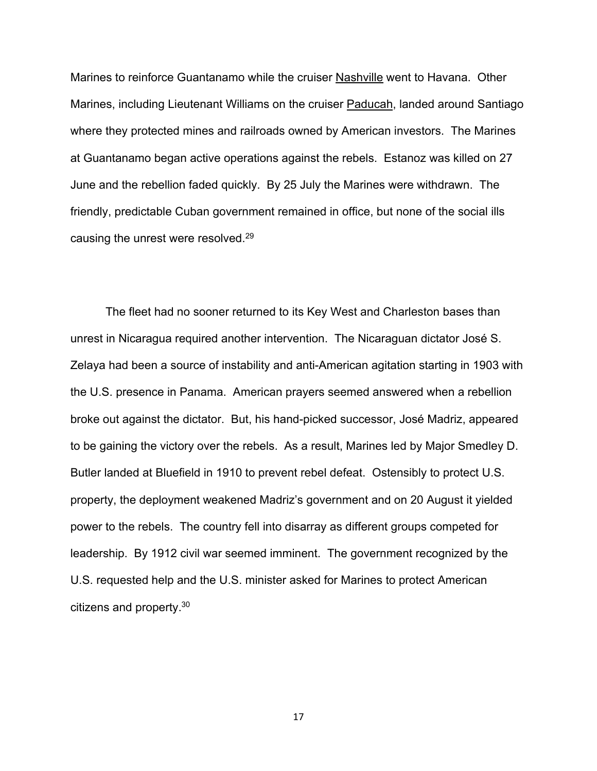Marines to reinforce Guantanamo while the cruiser Nashville went to Havana. Other Marines, including Lieutenant Williams on the cruiser Paducah, landed around Santiago where they protected mines and railroads owned by American investors. The Marines at Guantanamo began active operations against the rebels. Estanoz was killed on 27 June and the rebellion faded quickly. By 25 July the Marines were withdrawn. The friendly, predictable Cuban government remained in office, but none of the social ills causing the unrest were resolved.29

The fleet had no sooner returned to its Key West and Charleston bases than unrest in Nicaragua required another intervention. The Nicaraguan dictator José S. Zelaya had been a source of instability and anti-American agitation starting in 1903 with the U.S. presence in Panama. American prayers seemed answered when a rebellion broke out against the dictator. But, his hand-picked successor, José Madriz, appeared to be gaining the victory over the rebels. As a result, Marines led by Major Smedley D. Butler landed at Bluefield in 1910 to prevent rebel defeat. Ostensibly to protect U.S. property, the deployment weakened Madriz's government and on 20 August it yielded power to the rebels. The country fell into disarray as different groups competed for leadership. By 1912 civil war seemed imminent. The government recognized by the U.S. requested help and the U.S. minister asked for Marines to protect American citizens and property.30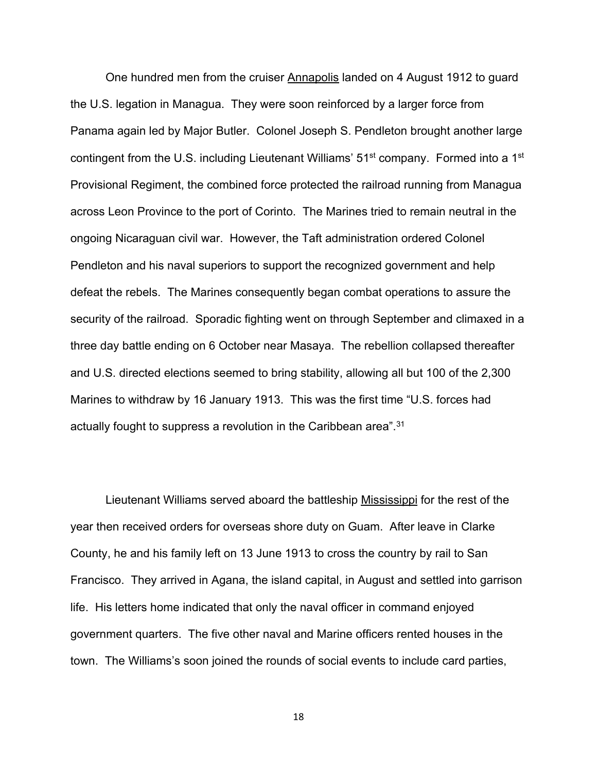One hundred men from the cruiser Annapolis landed on 4 August 1912 to guard the U.S. legation in Managua. They were soon reinforced by a larger force from Panama again led by Major Butler. Colonel Joseph S. Pendleton brought another large contingent from the U.S. including Lieutenant Williams' 51<sup>st</sup> company. Formed into a 1<sup>st</sup> Provisional Regiment, the combined force protected the railroad running from Managua across Leon Province to the port of Corinto. The Marines tried to remain neutral in the ongoing Nicaraguan civil war. However, the Taft administration ordered Colonel Pendleton and his naval superiors to support the recognized government and help defeat the rebels. The Marines consequently began combat operations to assure the security of the railroad. Sporadic fighting went on through September and climaxed in a three day battle ending on 6 October near Masaya. The rebellion collapsed thereafter and U.S. directed elections seemed to bring stability, allowing all but 100 of the 2,300 Marines to withdraw by 16 January 1913. This was the first time "U.S. forces had actually fought to suppress a revolution in the Caribbean area".<sup>31</sup>

Lieutenant Williams served aboard the battleship Mississippi for the rest of the year then received orders for overseas shore duty on Guam. After leave in Clarke County, he and his family left on 13 June 1913 to cross the country by rail to San Francisco. They arrived in Agana, the island capital, in August and settled into garrison life. His letters home indicated that only the naval officer in command enjoyed government quarters. The five other naval and Marine officers rented houses in the town. The Williams's soon joined the rounds of social events to include card parties,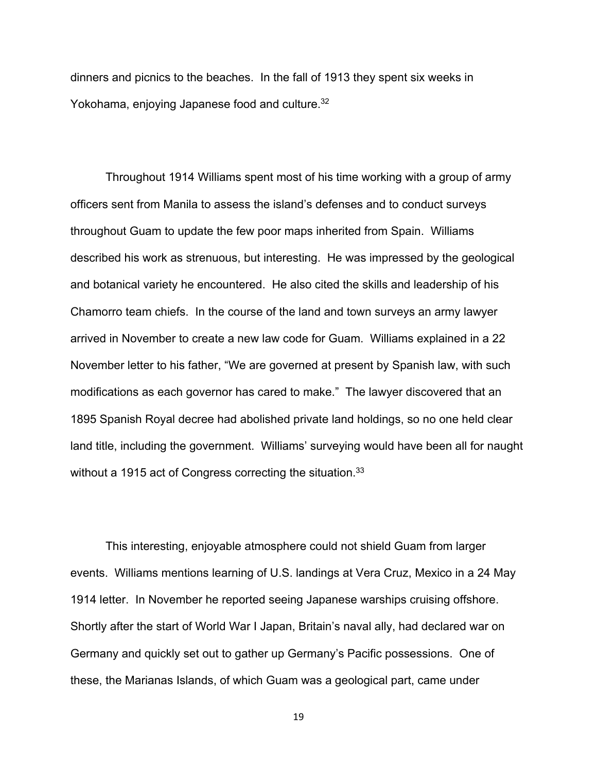dinners and picnics to the beaches. In the fall of 1913 they spent six weeks in Yokohama, enjoying Japanese food and culture.<sup>32</sup>

Throughout 1914 Williams spent most of his time working with a group of army officers sent from Manila to assess the island's defenses and to conduct surveys throughout Guam to update the few poor maps inherited from Spain. Williams described his work as strenuous, but interesting. He was impressed by the geological and botanical variety he encountered. He also cited the skills and leadership of his Chamorro team chiefs. In the course of the land and town surveys an army lawyer arrived in November to create a new law code for Guam. Williams explained in a 22 November letter to his father, "We are governed at present by Spanish law, with such modifications as each governor has cared to make." The lawyer discovered that an 1895 Spanish Royal decree had abolished private land holdings, so no one held clear land title, including the government. Williams' surveying would have been all for naught without a 1915 act of Congress correcting the situation.<sup>33</sup>

This interesting, enjoyable atmosphere could not shield Guam from larger events. Williams mentions learning of U.S. landings at Vera Cruz, Mexico in a 24 May 1914 letter. In November he reported seeing Japanese warships cruising offshore. Shortly after the start of World War I Japan, Britain's naval ally, had declared war on Germany and quickly set out to gather up Germany's Pacific possessions. One of these, the Marianas Islands, of which Guam was a geological part, came under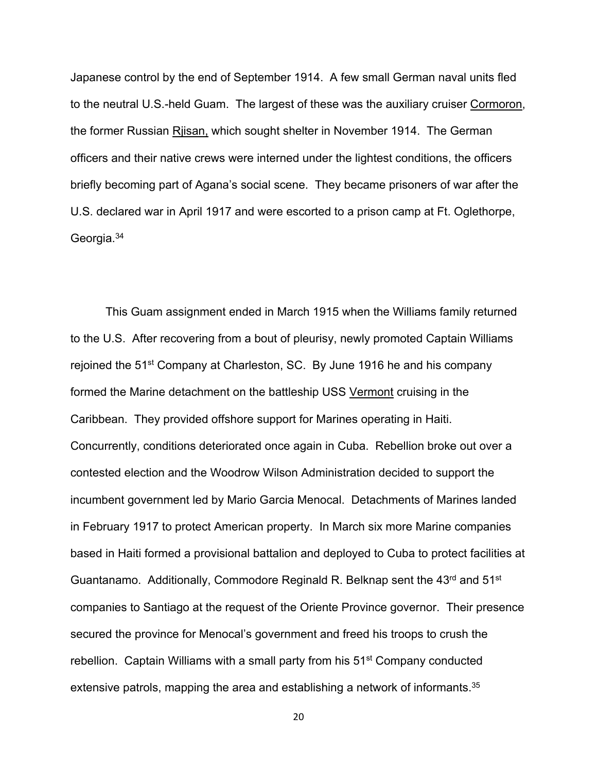Japanese control by the end of September 1914. A few small German naval units fled to the neutral U.S.-held Guam. The largest of these was the auxiliary cruiser Cormoron, the former Russian Rjisan, which sought shelter in November 1914. The German officers and their native crews were interned under the lightest conditions, the officers briefly becoming part of Agana's social scene. They became prisoners of war after the U.S. declared war in April 1917 and were escorted to a prison camp at Ft. Oglethorpe, Georgia.34

This Guam assignment ended in March 1915 when the Williams family returned to the U.S. After recovering from a bout of pleurisy, newly promoted Captain Williams rejoined the 51st Company at Charleston, SC. By June 1916 he and his company formed the Marine detachment on the battleship USS Vermont cruising in the Caribbean. They provided offshore support for Marines operating in Haiti. Concurrently, conditions deteriorated once again in Cuba. Rebellion broke out over a contested election and the Woodrow Wilson Administration decided to support the incumbent government led by Mario Garcia Menocal. Detachments of Marines landed in February 1917 to protect American property. In March six more Marine companies based in Haiti formed a provisional battalion and deployed to Cuba to protect facilities at Guantanamo. Additionally, Commodore Reginald R. Belknap sent the 43<sup>rd</sup> and 51<sup>st</sup> companies to Santiago at the request of the Oriente Province governor. Their presence secured the province for Menocal's government and freed his troops to crush the rebellion. Captain Williams with a small party from his 51<sup>st</sup> Company conducted extensive patrols, mapping the area and establishing a network of informants.<sup>35</sup>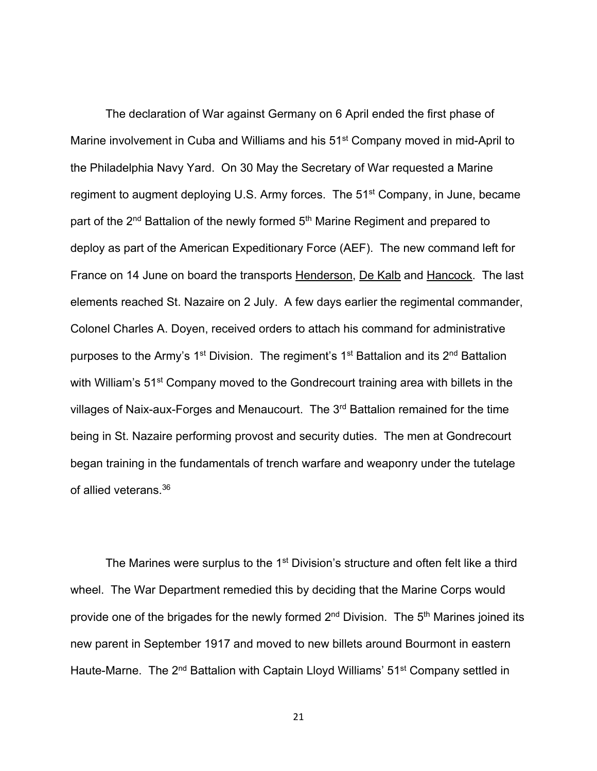The declaration of War against Germany on 6 April ended the first phase of Marine involvement in Cuba and Williams and his 51<sup>st</sup> Company moved in mid-April to the Philadelphia Navy Yard. On 30 May the Secretary of War requested a Marine regiment to augment deploying U.S. Army forces. The 51<sup>st</sup> Company, in June, became part of the 2<sup>nd</sup> Battalion of the newly formed 5<sup>th</sup> Marine Regiment and prepared to deploy as part of the American Expeditionary Force (AEF). The new command left for France on 14 June on board the transports Henderson, De Kalb and Hancock. The last elements reached St. Nazaire on 2 July. A few days earlier the regimental commander, Colonel Charles A. Doyen, received orders to attach his command for administrative purposes to the Army's 1<sup>st</sup> Division. The regiment's 1<sup>st</sup> Battalion and its 2<sup>nd</sup> Battalion with William's 51<sup>st</sup> Company moved to the Gondrecourt training area with billets in the villages of Naix-aux-Forges and Menaucourt. The 3<sup>rd</sup> Battalion remained for the time being in St. Nazaire performing provost and security duties. The men at Gondrecourt began training in the fundamentals of trench warfare and weaponry under the tutelage of allied veterans.36

The Marines were surplus to the 1<sup>st</sup> Division's structure and often felt like a third wheel. The War Department remedied this by deciding that the Marine Corps would provide one of the brigades for the newly formed  $2<sup>nd</sup>$  Division. The  $5<sup>th</sup>$  Marines joined its new parent in September 1917 and moved to new billets around Bourmont in eastern Haute-Marne. The 2<sup>nd</sup> Battalion with Captain Lloyd Williams' 51<sup>st</sup> Company settled in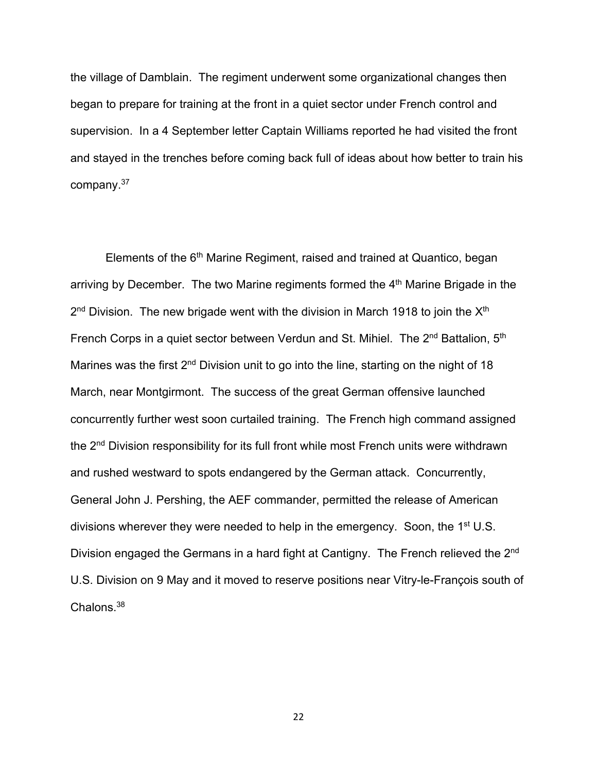the village of Damblain. The regiment underwent some organizational changes then began to prepare for training at the front in a quiet sector under French control and supervision. In a 4 September letter Captain Williams reported he had visited the front and stayed in the trenches before coming back full of ideas about how better to train his company.37

Elements of the 6<sup>th</sup> Marine Regiment, raised and trained at Quantico, began arriving by December. The two Marine regiments formed the 4<sup>th</sup> Marine Brigade in the  $2<sup>nd</sup>$  Division. The new brigade went with the division in March 1918 to join the  $X<sup>th</sup>$ French Corps in a quiet sector between Verdun and St. Mihiel. The 2<sup>nd</sup> Battalion, 5<sup>th</sup> Marines was the first  $2^{nd}$  Division unit to go into the line, starting on the night of 18 March, near Montgirmont. The success of the great German offensive launched concurrently further west soon curtailed training. The French high command assigned the 2<sup>nd</sup> Division responsibility for its full front while most French units were withdrawn and rushed westward to spots endangered by the German attack. Concurrently, General John J. Pershing, the AEF commander, permitted the release of American divisions wherever they were needed to help in the emergency. Soon, the 1<sup>st</sup> U.S. Division engaged the Germans in a hard fight at Cantigny. The French relieved the 2<sup>nd</sup> U.S. Division on 9 May and it moved to reserve positions near Vitry-le-François south of Chalons.38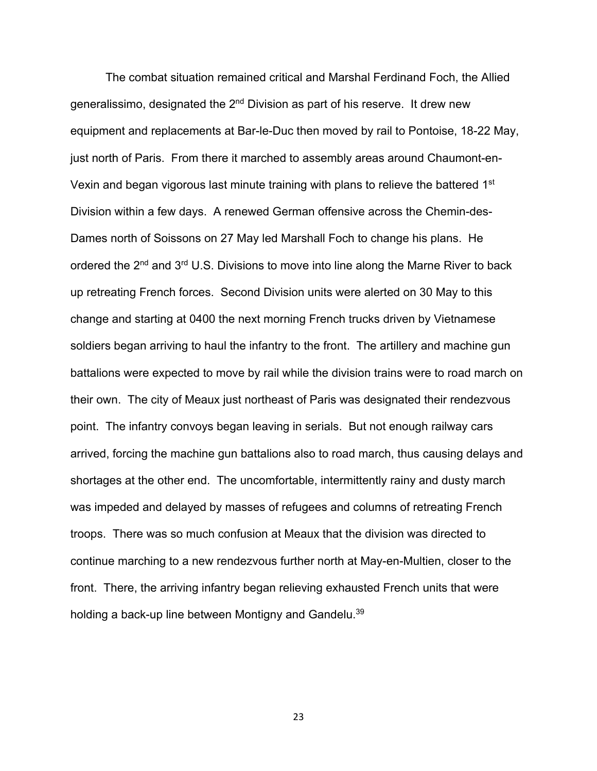The combat situation remained critical and Marshal Ferdinand Foch, the Allied generalissimo, designated the 2<sup>nd</sup> Division as part of his reserve. It drew new equipment and replacements at Bar-le-Duc then moved by rail to Pontoise, 18-22 May, just north of Paris. From there it marched to assembly areas around Chaumont-en-Vexin and began vigorous last minute training with plans to relieve the battered 1<sup>st</sup> Division within a few days. A renewed German offensive across the Chemin-des-Dames north of Soissons on 27 May led Marshall Foch to change his plans. He ordered the 2<sup>nd</sup> and 3<sup>rd</sup> U.S. Divisions to move into line along the Marne River to back up retreating French forces. Second Division units were alerted on 30 May to this change and starting at 0400 the next morning French trucks driven by Vietnamese soldiers began arriving to haul the infantry to the front. The artillery and machine gun battalions were expected to move by rail while the division trains were to road march on their own. The city of Meaux just northeast of Paris was designated their rendezvous point. The infantry convoys began leaving in serials. But not enough railway cars arrived, forcing the machine gun battalions also to road march, thus causing delays and shortages at the other end. The uncomfortable, intermittently rainy and dusty march was impeded and delayed by masses of refugees and columns of retreating French troops. There was so much confusion at Meaux that the division was directed to continue marching to a new rendezvous further north at May-en-Multien, closer to the front. There, the arriving infantry began relieving exhausted French units that were holding a back-up line between Montigny and Gandelu.<sup>39</sup>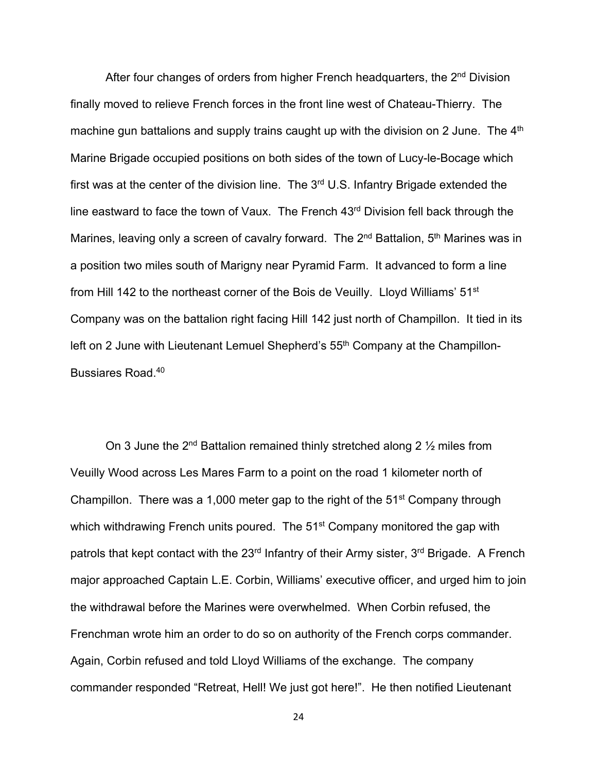After four changes of orders from higher French headquarters, the  $2<sup>nd</sup>$  Division finally moved to relieve French forces in the front line west of Chateau-Thierry. The machine gun battalions and supply trains caught up with the division on 2 June. The 4<sup>th</sup> Marine Brigade occupied positions on both sides of the town of Lucy-le-Bocage which first was at the center of the division line. The  $3<sup>rd</sup>$  U.S. Infantry Brigade extended the line eastward to face the town of Vaux. The French 43<sup>rd</sup> Division fell back through the Marines, leaving only a screen of cavalry forward. The 2<sup>nd</sup> Battalion, 5<sup>th</sup> Marines was in a position two miles south of Marigny near Pyramid Farm. It advanced to form a line from Hill 142 to the northeast corner of the Bois de Veuilly. Lloyd Williams' 51<sup>st</sup> Company was on the battalion right facing Hill 142 just north of Champillon. It tied in its left on 2 June with Lieutenant Lemuel Shepherd's 55<sup>th</sup> Company at the Champillon-Bussiares Road.40

On 3 June the  $2^{nd}$  Battalion remained thinly stretched along 2  $\frac{1}{2}$  miles from Veuilly Wood across Les Mares Farm to a point on the road 1 kilometer north of Champillon. There was a 1,000 meter gap to the right of the 51st Company through which withdrawing French units poured. The 51<sup>st</sup> Company monitored the gap with patrols that kept contact with the 23<sup>rd</sup> Infantry of their Army sister, 3<sup>rd</sup> Brigade. A French major approached Captain L.E. Corbin, Williams' executive officer, and urged him to join the withdrawal before the Marines were overwhelmed. When Corbin refused, the Frenchman wrote him an order to do so on authority of the French corps commander. Again, Corbin refused and told Lloyd Williams of the exchange. The company commander responded "Retreat, Hell! We just got here!". He then notified Lieutenant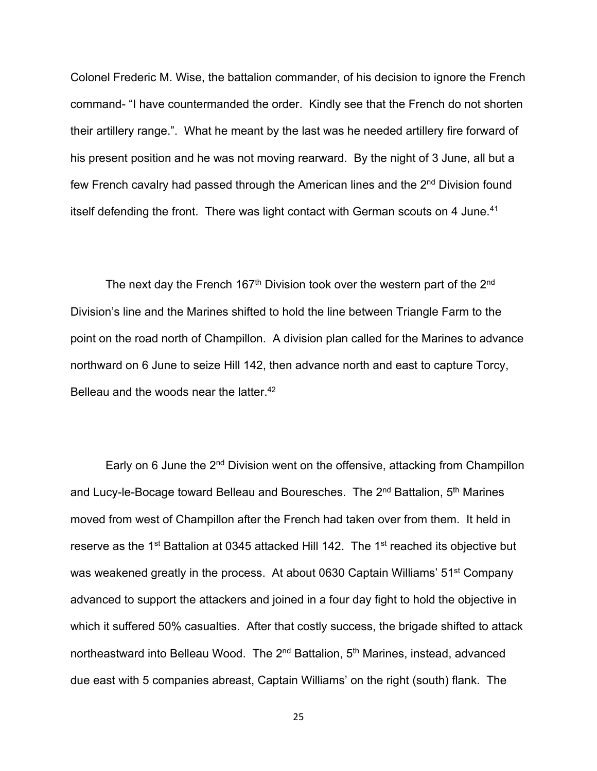Colonel Frederic M. Wise, the battalion commander, of his decision to ignore the French command- "I have countermanded the order. Kindly see that the French do not shorten their artillery range.". What he meant by the last was he needed artillery fire forward of his present position and he was not moving rearward. By the night of 3 June, all but a few French cavalry had passed through the American lines and the 2<sup>nd</sup> Division found itself defending the front. There was light contact with German scouts on 4 June.<sup>41</sup>

The next day the French 167<sup>th</sup> Division took over the western part of the  $2^{nd}$ Division's line and the Marines shifted to hold the line between Triangle Farm to the point on the road north of Champillon. A division plan called for the Marines to advance northward on 6 June to seize Hill 142, then advance north and east to capture Torcy, Belleau and the woods near the latter.<sup>42</sup>

Early on 6 June the 2<sup>nd</sup> Division went on the offensive, attacking from Champillon and Lucy-le-Bocage toward Belleau and Bouresches. The  $2^{nd}$  Battalion,  $5^{th}$  Marines moved from west of Champillon after the French had taken over from them. It held in reserve as the 1<sup>st</sup> Battalion at 0345 attacked Hill 142. The 1<sup>st</sup> reached its objective but was weakened greatly in the process. At about 0630 Captain Williams' 51<sup>st</sup> Company advanced to support the attackers and joined in a four day fight to hold the objective in which it suffered 50% casualties. After that costly success, the brigade shifted to attack northeastward into Belleau Wood. The 2<sup>nd</sup> Battalion, 5<sup>th</sup> Marines, instead, advanced due east with 5 companies abreast, Captain Williams' on the right (south) flank. The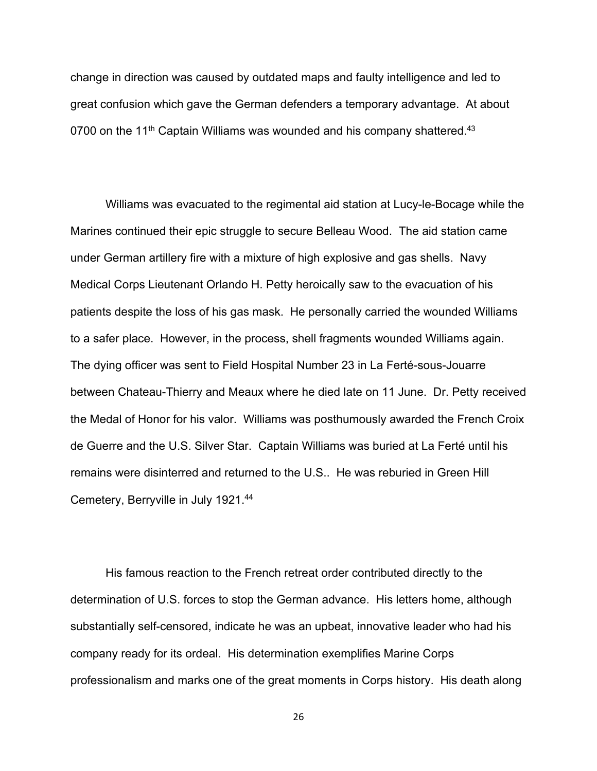change in direction was caused by outdated maps and faulty intelligence and led to great confusion which gave the German defenders a temporary advantage. At about 0700 on the 11<sup>th</sup> Captain Williams was wounded and his company shattered.<sup>43</sup>

Williams was evacuated to the regimental aid station at Lucy-le-Bocage while the Marines continued their epic struggle to secure Belleau Wood. The aid station came under German artillery fire with a mixture of high explosive and gas shells. Navy Medical Corps Lieutenant Orlando H. Petty heroically saw to the evacuation of his patients despite the loss of his gas mask. He personally carried the wounded Williams to a safer place. However, in the process, shell fragments wounded Williams again. The dying officer was sent to Field Hospital Number 23 in La Ferté-sous-Jouarre between Chateau-Thierry and Meaux where he died late on 11 June. Dr. Petty received the Medal of Honor for his valor. Williams was posthumously awarded the French Croix de Guerre and the U.S. Silver Star. Captain Williams was buried at La Ferté until his remains were disinterred and returned to the U.S.. He was reburied in Green Hill Cemetery, Berryville in July 1921.44

His famous reaction to the French retreat order contributed directly to the determination of U.S. forces to stop the German advance. His letters home, although substantially self-censored, indicate he was an upbeat, innovative leader who had his company ready for its ordeal. His determination exemplifies Marine Corps professionalism and marks one of the great moments in Corps history. His death along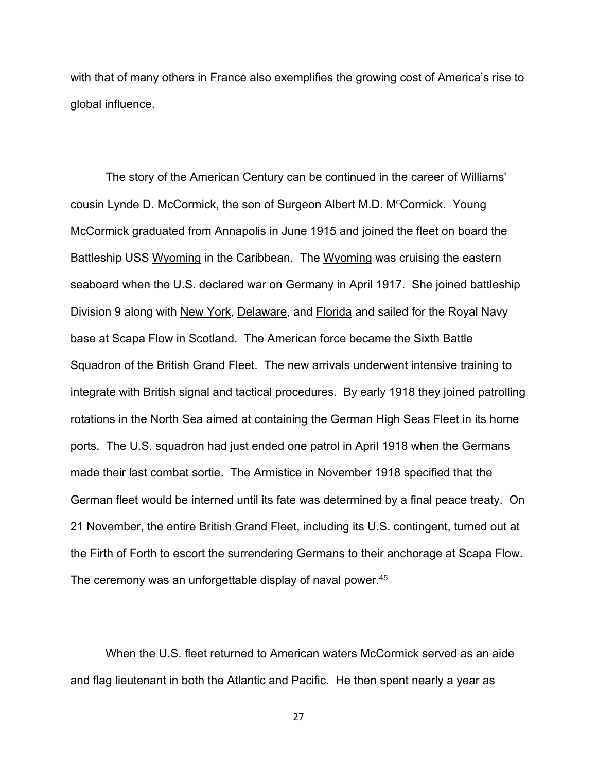with that of many others in France also exemplifies the growing cost of America's rise to global influence.

The story of the American Century can be continued in the career of Williams' cousin Lynde D. McCormick, the son of Surgeon Albert M.D. M<sup>c</sup>Cormick. Young McCormick graduated from Annapolis in June 1915 and joined the fleet on board the Battleship USS Wyoming in the Caribbean. The Wyoming was cruising the eastern seaboard when the U.S. declared war on Germany in April 1917. She joined battleship Division 9 along with New York, Delaware, and Florida and sailed for the Royal Navy base at Scapa Flow in Scotland. The American force became the Sixth Battle Squadron of the British Grand Fleet. The new arrivals underwent intensive training to integrate with British signal and tactical procedures. By early 1918 they joined patrolling rotations in the North Sea aimed at containing the German High Seas Fleet in its home ports. The U.S. squadron had just ended one patrol in April 1918 when the Germans made their last combat sortie. The Armistice in November 1918 specified that the German fleet would be interned until its fate was determined by a final peace treaty. On 21 November, the entire British Grand Fleet, including its U.S. contingent, turned out at the Firth of Forth to escort the surrendering Germans to their anchorage at Scapa Flow. The ceremony was an unforgettable display of naval power.<sup>45</sup>

When the U.S. fleet returned to American waters McCormick served as an aide and flag lieutenant in both the Atlantic and Pacific. He then spent nearly a year as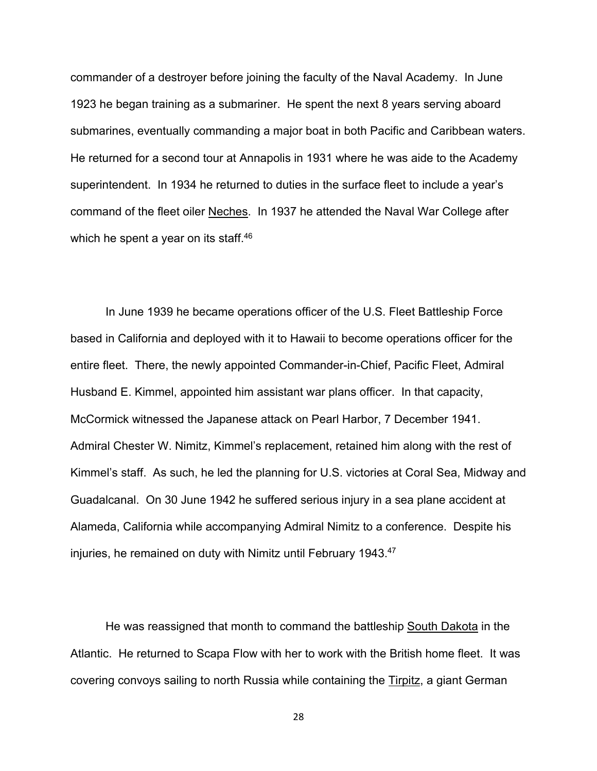commander of a destroyer before joining the faculty of the Naval Academy. In June 1923 he began training as a submariner. He spent the next 8 years serving aboard submarines, eventually commanding a major boat in both Pacific and Caribbean waters. He returned for a second tour at Annapolis in 1931 where he was aide to the Academy superintendent. In 1934 he returned to duties in the surface fleet to include a year's command of the fleet oiler Neches. In 1937 he attended the Naval War College after which he spent a year on its staff.<sup>46</sup>

In June 1939 he became operations officer of the U.S. Fleet Battleship Force based in California and deployed with it to Hawaii to become operations officer for the entire fleet. There, the newly appointed Commander-in-Chief, Pacific Fleet, Admiral Husband E. Kimmel, appointed him assistant war plans officer. In that capacity, McCormick witnessed the Japanese attack on Pearl Harbor, 7 December 1941. Admiral Chester W. Nimitz, Kimmel's replacement, retained him along with the rest of Kimmel's staff. As such, he led the planning for U.S. victories at Coral Sea, Midway and Guadalcanal. On 30 June 1942 he suffered serious injury in a sea plane accident at Alameda, California while accompanying Admiral Nimitz to a conference. Despite his injuries, he remained on duty with Nimitz until February 1943.<sup>47</sup>

He was reassigned that month to command the battleship South Dakota in the Atlantic. He returned to Scapa Flow with her to work with the British home fleet. It was covering convoys sailing to north Russia while containing the Tirpitz, a giant German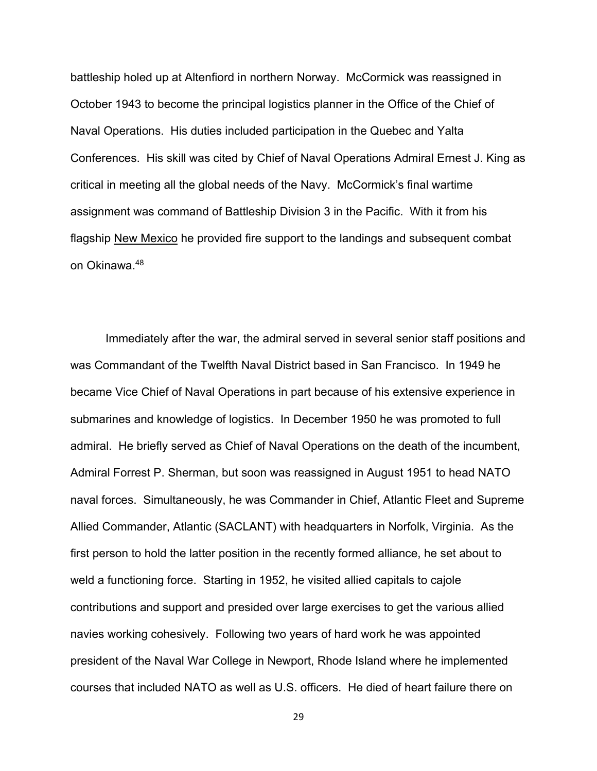battleship holed up at Altenfiord in northern Norway. McCormick was reassigned in October 1943 to become the principal logistics planner in the Office of the Chief of Naval Operations. His duties included participation in the Quebec and Yalta Conferences. His skill was cited by Chief of Naval Operations Admiral Ernest J. King as critical in meeting all the global needs of the Navy. McCormick's final wartime assignment was command of Battleship Division 3 in the Pacific. With it from his flagship New Mexico he provided fire support to the landings and subsequent combat on Okinawa.48

Immediately after the war, the admiral served in several senior staff positions and was Commandant of the Twelfth Naval District based in San Francisco. In 1949 he became Vice Chief of Naval Operations in part because of his extensive experience in submarines and knowledge of logistics. In December 1950 he was promoted to full admiral. He briefly served as Chief of Naval Operations on the death of the incumbent, Admiral Forrest P. Sherman, but soon was reassigned in August 1951 to head NATO naval forces. Simultaneously, he was Commander in Chief, Atlantic Fleet and Supreme Allied Commander, Atlantic (SACLANT) with headquarters in Norfolk, Virginia. As the first person to hold the latter position in the recently formed alliance, he set about to weld a functioning force. Starting in 1952, he visited allied capitals to cajole contributions and support and presided over large exercises to get the various allied navies working cohesively. Following two years of hard work he was appointed president of the Naval War College in Newport, Rhode Island where he implemented courses that included NATO as well as U.S. officers. He died of heart failure there on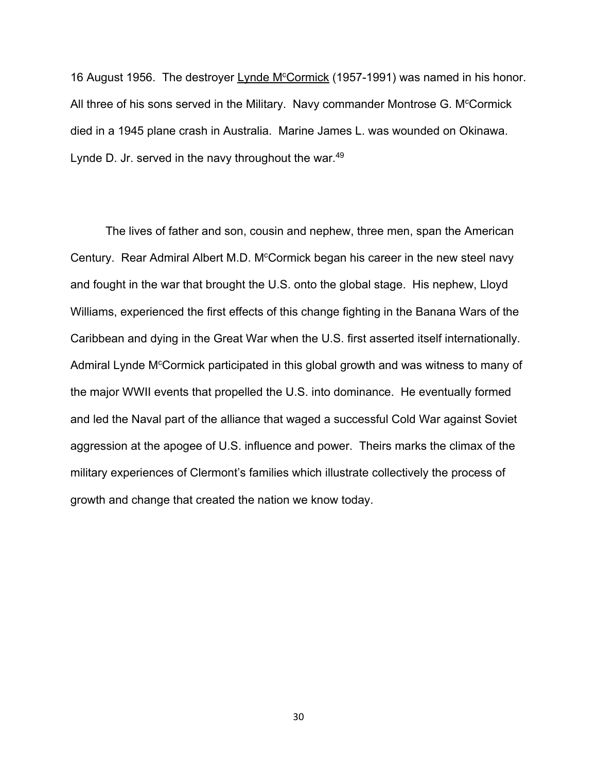16 August 1956. The destroyer Lynde M<sup>c</sup>Cormick (1957-1991) was named in his honor. All three of his sons served in the Military. Navy commander Montrose G. M<sup>c</sup>Cormick died in a 1945 plane crash in Australia. Marine James L. was wounded on Okinawa. Lynde D. Jr. served in the navy throughout the war.<sup>49</sup>

The lives of father and son, cousin and nephew, three men, span the American Century. Rear Admiral Albert M.D. M<sup>c</sup>Cormick began his career in the new steel navy and fought in the war that brought the U.S. onto the global stage. His nephew, Lloyd Williams, experienced the first effects of this change fighting in the Banana Wars of the Caribbean and dying in the Great War when the U.S. first asserted itself internationally. Admiral Lynde M<sup>c</sup>Cormick participated in this global growth and was witness to many of the major WWII events that propelled the U.S. into dominance. He eventually formed and led the Naval part of the alliance that waged a successful Cold War against Soviet aggression at the apogee of U.S. influence and power. Theirs marks the climax of the military experiences of Clermont's families which illustrate collectively the process of growth and change that created the nation we know today.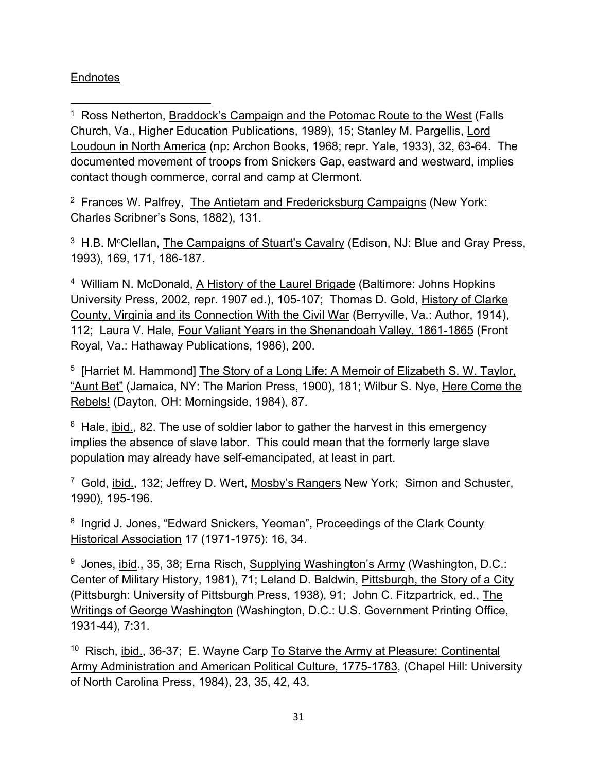## **Endnotes**

<sup>1</sup> Ross Netherton, Braddock's Campaign and the Potomac Route to the West (Falls Church, Va., Higher Education Publications, 1989), 15; Stanley M. Pargellis, Lord Loudoun in North America (np: Archon Books, 1968; repr. Yale, 1933), 32, 63-64. The documented movement of troops from Snickers Gap, eastward and westward, implies contact though commerce, corral and camp at Clermont.

 $2$  Frances W. Palfrey, The Antietam and Fredericksburg Campaigns (New York: Charles Scribner's Sons, 1882), 131.

<sup>3</sup> H.B. M<sup>c</sup>Clellan, The Campaigns of Stuart's Cavalry (Edison, NJ: Blue and Gray Press, 1993), 169, 171, 186-187.

<sup>4</sup> William N. McDonald, A History of the Laurel Brigade (Baltimore: Johns Hopkins University Press, 2002, repr. 1907 ed.), 105-107; Thomas D. Gold, History of Clarke County, Virginia and its Connection With the Civil War (Berryville, Va.: Author, 1914), 112; Laura V. Hale, Four Valiant Years in the Shenandoah Valley, 1861-1865 (Front Royal, Va.: Hathaway Publications, 1986), 200.

5 [Harriet M. Hammond] The Story of a Long Life: A Memoir of Elizabeth S. W. Taylor, "Aunt Bet" (Jamaica, NY: The Marion Press, 1900), 181; Wilbur S. Nye, Here Come the Rebels! (Dayton, OH: Morningside, 1984), 87.

 $6$  Hale, ibid., 82. The use of soldier labor to gather the harvest in this emergency implies the absence of slave labor. This could mean that the formerly large slave population may already have self-emancipated, at least in part.

7 Gold, ibid., 132; Jeffrey D. Wert, Mosby's Rangers New York; Simon and Schuster, 1990), 195-196.

8 Ingrid J. Jones, "Edward Snickers, Yeoman", Proceedings of the Clark County Historical Association 17 (1971-1975): 16, 34.

9 Jones, ibid., 35, 38; Erna Risch, Supplying Washington's Army (Washington, D.C.: Center of Military History, 1981), 71; Leland D. Baldwin, Pittsburgh, the Story of a City (Pittsburgh: University of Pittsburgh Press, 1938), 91; John C. Fitzpartrick, ed., The Writings of George Washington (Washington, D.C.: U.S. Government Printing Office, 1931-44), 7:31.

 $10$  Risch, ibid., 36-37; E. Wayne Carp To Starve the Army at Pleasure: Continental Army Administration and American Political Culture, 1775-1783, (Chapel Hill: University of North Carolina Press, 1984), 23, 35, 42, 43.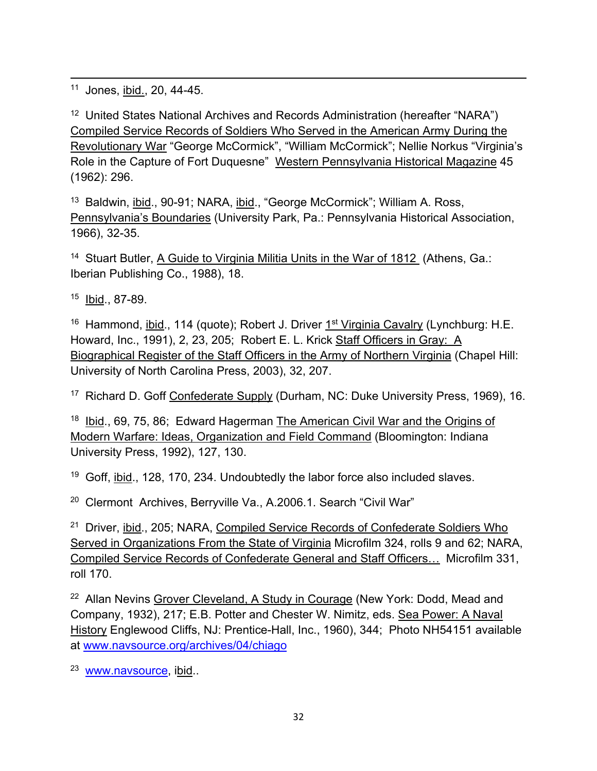11 Jones, ibid., 20, 44-45.

<sup>12</sup> United States National Archives and Records Administration (hereafter "NARA") Compiled Service Records of Soldiers Who Served in the American Army During the Revolutionary War "George McCormick", "William McCormick"; Nellie Norkus "Virginia's Role in the Capture of Fort Duquesne" Western Pennsylvania Historical Magazine 45 (1962): 296.

13 Baldwin, ibid., 90-91; NARA, ibid., "George McCormick"; William A. Ross, Pennsylvania's Boundaries (University Park, Pa.: Pennsylvania Historical Association, 1966), 32-35.

14 Stuart Butler, A Guide to Virginia Militia Units in the War of 1812 (Athens, Ga.: Iberian Publishing Co., 1988), 18.

15 Ibid., 87-89.

<sup>16</sup> Hammond, ibid., 114 (quote); Robert J. Driver 1<sup>st</sup> Virginia Cavalry (Lynchburg: H.E. Howard, Inc., 1991), 2, 23, 205; Robert E. L. Krick Staff Officers in Gray: A Biographical Register of the Staff Officers in the Army of Northern Virginia (Chapel Hill: University of North Carolina Press, 2003), 32, 207.

<sup>17</sup> Richard D. Goff Confederate Supply (Durham, NC: Duke University Press, 1969), 16.

18 Ibid., 69, 75, 86; Edward Hagerman The American Civil War and the Origins of Modern Warfare: Ideas, Organization and Field Command (Bloomington: Indiana University Press, 1992), 127, 130.

<sup>19</sup> Goff, ibid., 128, 170, 234. Undoubtedly the labor force also included slaves.

<sup>20</sup> Clermont Archives, Berryville Va., A.2006.1. Search "Civil War"

<sup>21</sup> Driver, ibid., 205; NARA, Compiled Service Records of Confederate Soldiers Who Served in Organizations From the State of Virginia Microfilm 324, rolls 9 and 62; NARA, Compiled Service Records of Confederate General and Staff Officers… Microfilm 331, roll 170.

<sup>22</sup> Allan Nevins Grover Cleveland, A Study in Courage (New York: Dodd, Mead and Company, 1932), 217; E.B. Potter and Chester W. Nimitz, eds. Sea Power: A Naval History Englewood Cliffs, NJ: Prentice-Hall, Inc., 1960), 344; Photo NH54151 available at www.navsource.org/archives/04/chiago

<sup>23</sup> www.navsource, ibid..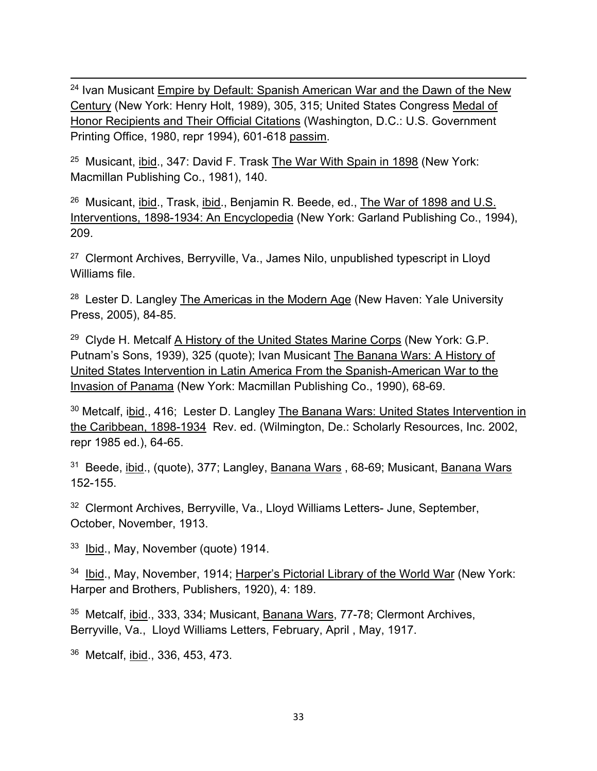<sup>24</sup> Ivan Musicant Empire by Default: Spanish American War and the Dawn of the New Century (New York: Henry Holt, 1989), 305, 315; United States Congress Medal of Honor Recipients and Their Official Citations (Washington, D.C.: U.S. Government Printing Office, 1980, repr 1994), 601-618 passim.

25 Musicant, ibid., 347: David F. Trask The War With Spain in 1898 (New York: Macmillan Publishing Co., 1981), 140.

26 Musicant, ibid., Trask, ibid., Benjamin R. Beede, ed., The War of 1898 and U.S. Interventions, 1898-1934: An Encyclopedia (New York: Garland Publishing Co., 1994), 209.

<sup>27</sup> Clermont Archives, Berryville, Va., James Nilo, unpublished typescript in Lloyd Williams file.

 $28$  Lester D. Langley The Americas in the Modern Age (New Haven: Yale University Press, 2005), 84-85.

<sup>29</sup> Clyde H. Metcalf A History of the United States Marine Corps (New York: G.P. Putnam's Sons, 1939), 325 (quote); Ivan Musicant The Banana Wars: A History of United States Intervention in Latin America From the Spanish-American War to the Invasion of Panama (New York: Macmillan Publishing Co., 1990), 68-69.

<sup>30</sup> Metcalf, ibid., 416; Lester D. Langley The Banana Wars: United States Intervention in the Caribbean, 1898-1934 Rev. ed. (Wilmington, De.: Scholarly Resources, Inc. 2002, repr 1985 ed.), 64-65.

31 Beede, ibid., (quote), 377; Langley, Banana Wars , 68-69; Musicant, Banana Wars 152-155.

<sup>32</sup> Clermont Archives, Berryville, Va., Lloyd Williams Letters- June, September, October, November, 1913.

<sup>33</sup> Ibid., May, November (quote) 1914.

<sup>34</sup> Ibid., May, November, 1914; Harper's Pictorial Library of the World War (New York: Harper and Brothers, Publishers, 1920), 4: 189.

35 Metcalf, ibid., 333, 334; Musicant, Banana Wars, 77-78; Clermont Archives, Berryville, Va., Lloyd Williams Letters, February, April , May, 1917.

36 Metcalf, ibid., 336, 453, 473.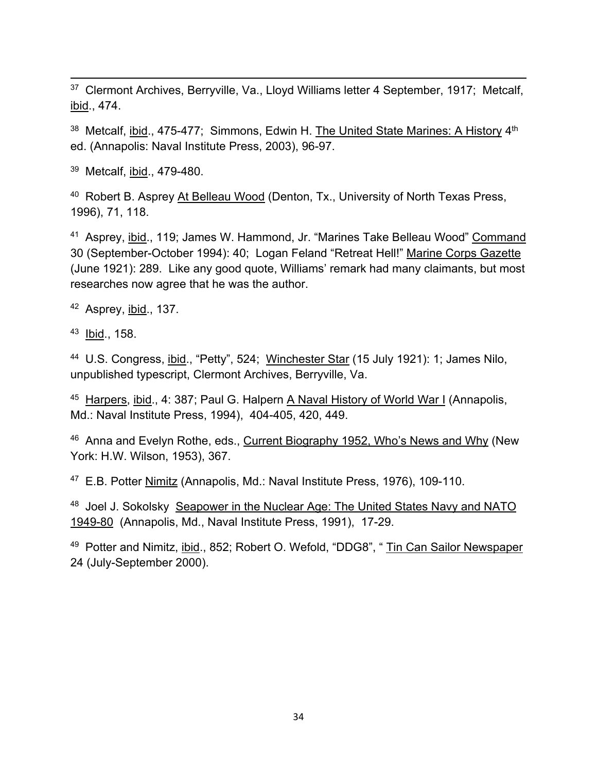<sup>37</sup> Clermont Archives, Berryville, Va., Lloyd Williams letter 4 September, 1917; Metcalf, ibid., 474.

<sup>38</sup> Metcalf, ibid., 475-477; Simmons, Edwin H. The United State Marines: A History 4<sup>th</sup> ed. (Annapolis: Naval Institute Press, 2003), 96-97.

39 Metcalf, ibid., 479-480.

40 Robert B. Asprey At Belleau Wood (Denton, Tx., University of North Texas Press, 1996), 71, 118.

41 Asprey, ibid., 119; James W. Hammond, Jr. "Marines Take Belleau Wood" Command 30 (September-October 1994): 40; Logan Feland "Retreat Hell!" Marine Corps Gazette (June 1921): 289. Like any good quote, Williams' remark had many claimants, but most researches now agree that he was the author.

42 Asprey, ibid., 137.

43 Ibid., 158.

44 U.S. Congress, ibid., "Petty", 524; Winchester Star (15 July 1921): 1; James Nilo, unpublished typescript, Clermont Archives, Berryville, Va.

45 Harpers, ibid., 4: 387; Paul G. Halpern A Naval History of World War I (Annapolis, Md.: Naval Institute Press, 1994), 404-405, 420, 449.

46 Anna and Evelyn Rothe, eds., Current Biography 1952, Who's News and Why (New York: H.W. Wilson, 1953), 367.

47 E.B. Potter Nimitz (Annapolis, Md.: Naval Institute Press, 1976), 109-110.

48 Joel J. Sokolsky Seapower in the Nuclear Age: The United States Navy and NATO 1949-80 (Annapolis, Md., Naval Institute Press, 1991), 17-29.

49 Potter and Nimitz, ibid., 852; Robert O. Wefold, "DDG8", " Tin Can Sailor Newspaper 24 (July-September 2000).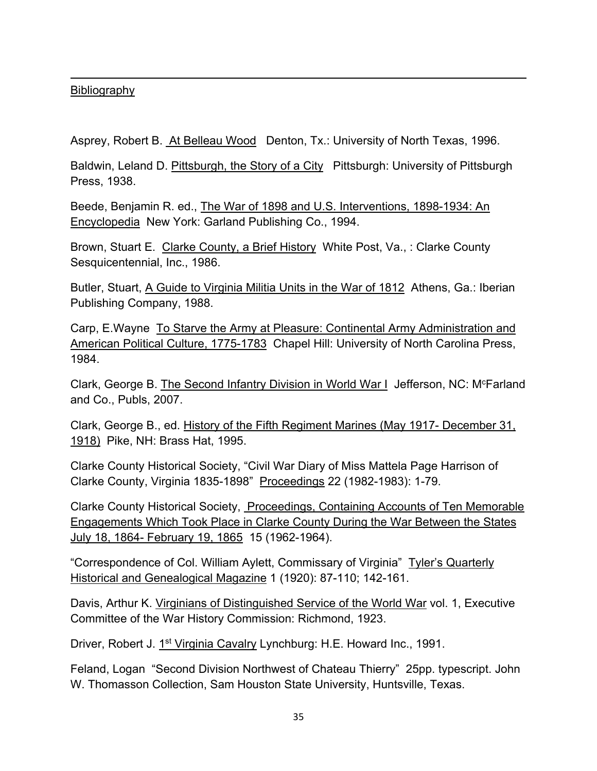## Bibliography

Asprey, Robert B. At Belleau Wood Denton, Tx.: University of North Texas, 1996.

Baldwin, Leland D. Pittsburgh, the Story of a City Pittsburgh: University of Pittsburgh Press, 1938.

Beede, Benjamin R. ed., The War of 1898 and U.S. Interventions, 1898-1934: An Encyclopedia New York: Garland Publishing Co., 1994.

Brown, Stuart E. Clarke County, a Brief History White Post, Va., : Clarke County Sesquicentennial, Inc., 1986.

Butler, Stuart, A Guide to Virginia Militia Units in the War of 1812 Athens, Ga.: Iberian Publishing Company, 1988.

Carp, E.Wayne To Starve the Army at Pleasure: Continental Army Administration and American Political Culture, 1775-1783 Chapel Hill: University of North Carolina Press, 1984.

Clark, George B. The Second Infantry Division in World War I Jefferson, NC: M<sup>c</sup>Farland and Co., Publs, 2007.

Clark, George B., ed. History of the Fifth Regiment Marines (May 1917- December 31, 1918) Pike, NH: Brass Hat, 1995.

Clarke County Historical Society, "Civil War Diary of Miss Mattela Page Harrison of Clarke County, Virginia 1835-1898" Proceedings 22 (1982-1983): 1-79.

Clarke County Historical Society, Proceedings, Containing Accounts of Ten Memorable Engagements Which Took Place in Clarke County During the War Between the States July 18, 1864- February 19, 1865 15 (1962-1964).

"Correspondence of Col. William Aylett, Commissary of Virginia" Tyler's Quarterly Historical and Genealogical Magazine 1 (1920): 87-110; 142-161.

Davis, Arthur K. Virginians of Distinguished Service of the World War vol. 1, Executive Committee of the War History Commission: Richmond, 1923.

Driver, Robert J. 1st Virginia Cavalry Lynchburg: H.E. Howard Inc., 1991.

Feland, Logan "Second Division Northwest of Chateau Thierry" 25pp. typescript. John W. Thomasson Collection, Sam Houston State University, Huntsville, Texas.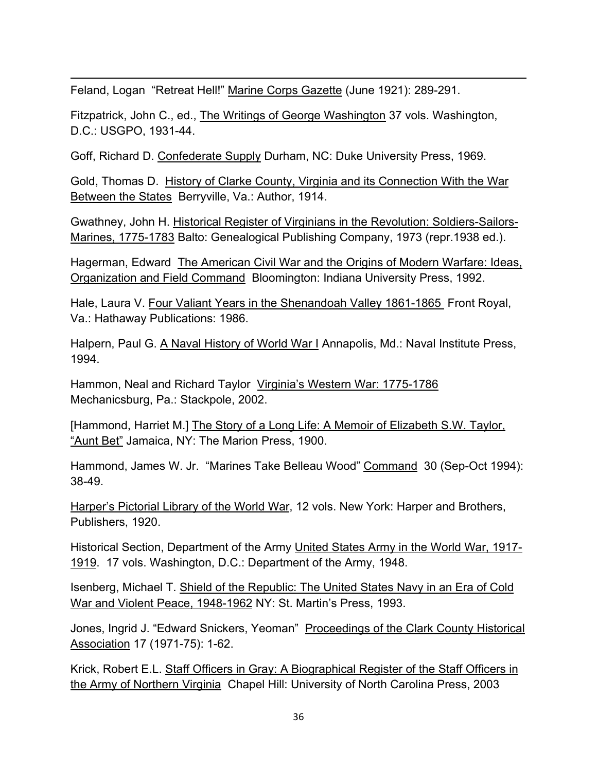Feland, Logan "Retreat Hell!" Marine Corps Gazette (June 1921): 289-291.

Fitzpatrick, John C., ed., The Writings of George Washington 37 vols. Washington, D.C.: USGPO, 1931-44.

Goff, Richard D. Confederate Supply Durham, NC: Duke University Press, 1969.

Gold, Thomas D. History of Clarke County, Virginia and its Connection With the War Between the States Berryville, Va.: Author, 1914.

Gwathney, John H. Historical Register of Virginians in the Revolution: Soldiers-Sailors-Marines, 1775-1783 Balto: Genealogical Publishing Company, 1973 (repr.1938 ed.).

Hagerman, Edward The American Civil War and the Origins of Modern Warfare: Ideas, Organization and Field Command Bloomington: Indiana University Press, 1992.

Hale, Laura V. Four Valiant Years in the Shenandoah Valley 1861-1865 Front Royal, Va.: Hathaway Publications: 1986.

Halpern, Paul G. A Naval History of World War I Annapolis, Md.: Naval Institute Press, 1994.

Hammon, Neal and Richard Taylor Virginia's Western War: 1775-1786 Mechanicsburg, Pa.: Stackpole, 2002.

[Hammond, Harriet M.] The Story of a Long Life: A Memoir of Elizabeth S.W. Taylor, "Aunt Bet" Jamaica, NY: The Marion Press, 1900.

Hammond, James W. Jr. "Marines Take Belleau Wood" Command 30 (Sep-Oct 1994): 38-49.

Harper's Pictorial Library of the World War, 12 vols. New York: Harper and Brothers, Publishers, 1920.

Historical Section, Department of the Army United States Army in the World War, 1917- 1919. 17 vols. Washington, D.C.: Department of the Army, 1948.

Isenberg, Michael T. Shield of the Republic: The United States Navy in an Era of Cold War and Violent Peace, 1948-1962 NY: St. Martin's Press, 1993.

Jones, Ingrid J. "Edward Snickers, Yeoman" Proceedings of the Clark County Historical Association 17 (1971-75): 1-62.

Krick, Robert E.L. Staff Officers in Gray: A Biographical Register of the Staff Officers in the Army of Northern Virginia Chapel Hill: University of North Carolina Press, 2003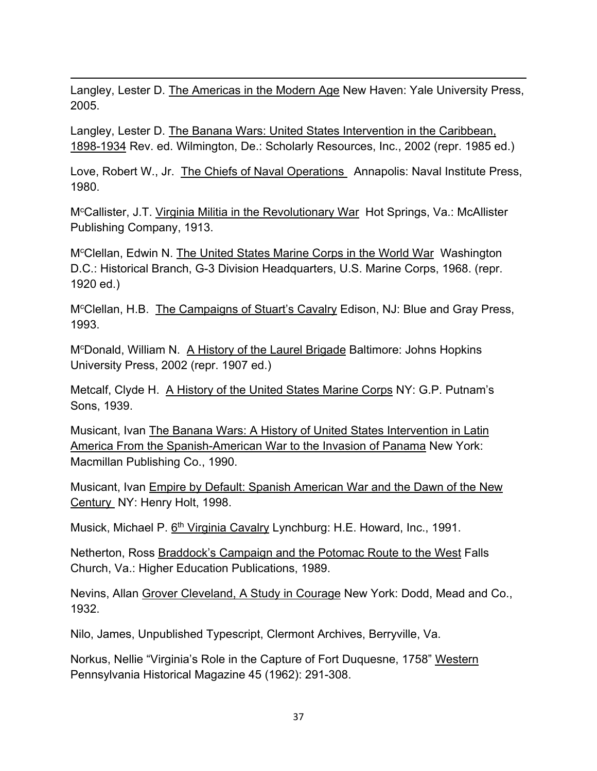Langley, Lester D. The Americas in the Modern Age New Haven: Yale University Press, 2005.

Langley, Lester D. The Banana Wars: United States Intervention in the Caribbean, 1898-1934 Rev. ed. Wilmington, De.: Scholarly Resources, Inc., 2002 (repr. 1985 ed.)

Love, Robert W., Jr. The Chiefs of Naval Operations Annapolis: Naval Institute Press, 1980.

M<sup>c</sup>Callister, J.T. Virginia Militia in the Revolutionary War Hot Springs, Va.: McAllister Publishing Company, 1913.

M<sup>c</sup>Clellan, Edwin N. The United States Marine Corps in the World War Washington D.C.: Historical Branch, G-3 Division Headquarters, U.S. Marine Corps, 1968. (repr. 1920 ed.)

M<sup>c</sup>Clellan, H.B. The Campaigns of Stuart's Cavalry Edison, NJ: Blue and Gray Press, 1993.

M<sup>c</sup>Donald, William N. A History of the Laurel Brigade Baltimore: Johns Hopkins University Press, 2002 (repr. 1907 ed.)

Metcalf, Clyde H. A History of the United States Marine Corps NY: G.P. Putnam's Sons, 1939.

Musicant, Ivan The Banana Wars: A History of United States Intervention in Latin America From the Spanish-American War to the Invasion of Panama New York: Macmillan Publishing Co., 1990.

Musicant, Ivan Empire by Default: Spanish American War and the Dawn of the New Century NY: Henry Holt, 1998.

Musick, Michael P. 6<sup>th</sup> Virginia Cavalry Lynchburg: H.E. Howard, Inc., 1991.

Netherton, Ross Braddock's Campaign and the Potomac Route to the West Falls Church, Va.: Higher Education Publications, 1989.

Nevins, Allan Grover Cleveland, A Study in Courage New York: Dodd, Mead and Co., 1932.

Nilo, James, Unpublished Typescript, Clermont Archives, Berryville, Va.

Norkus, Nellie "Virginia's Role in the Capture of Fort Duquesne, 1758" Western Pennsylvania Historical Magazine 45 (1962): 291-308.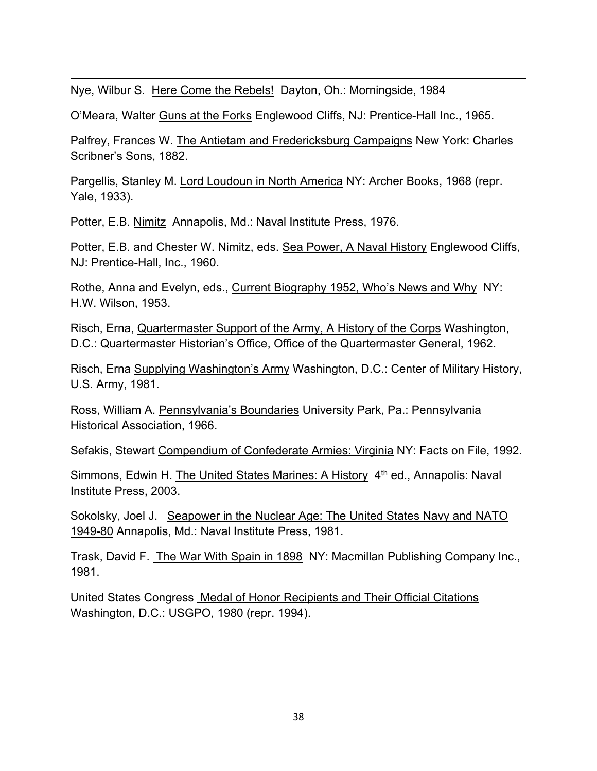Nye, Wilbur S. Here Come the Rebels! Dayton, Oh.: Morningside, 1984

O'Meara, Walter Guns at the Forks Englewood Cliffs, NJ: Prentice-Hall Inc., 1965.

Palfrey, Frances W. The Antietam and Fredericksburg Campaigns New York: Charles Scribner's Sons, 1882.

Pargellis, Stanley M. Lord Loudoun in North America NY: Archer Books, 1968 (repr. Yale, 1933).

Potter, E.B. Nimitz Annapolis, Md.: Naval Institute Press, 1976.

Potter, E.B. and Chester W. Nimitz, eds. Sea Power, A Naval History Englewood Cliffs, NJ: Prentice-Hall, Inc., 1960.

Rothe, Anna and Evelyn, eds., Current Biography 1952, Who's News and Why NY: H.W. Wilson, 1953.

Risch, Erna, Quartermaster Support of the Army, A History of the Corps Washington, D.C.: Quartermaster Historian's Office, Office of the Quartermaster General, 1962.

Risch, Erna Supplying Washington's Army Washington, D.C.: Center of Military History, U.S. Army, 1981.

Ross, William A. Pennsylvania's Boundaries University Park, Pa.: Pennsylvania Historical Association, 1966.

Sefakis, Stewart Compendium of Confederate Armies: Virginia NY: Facts on File, 1992.

Simmons, Edwin H. The United States Marines: A History 4<sup>th</sup> ed., Annapolis: Naval Institute Press, 2003.

Sokolsky, Joel J. Seapower in the Nuclear Age: The United States Navy and NATO 1949-80 Annapolis, Md.: Naval Institute Press, 1981.

Trask, David F. The War With Spain in 1898 NY: Macmillan Publishing Company Inc., 1981.

United States Congress Medal of Honor Recipients and Their Official Citations Washington, D.C.: USGPO, 1980 (repr. 1994).